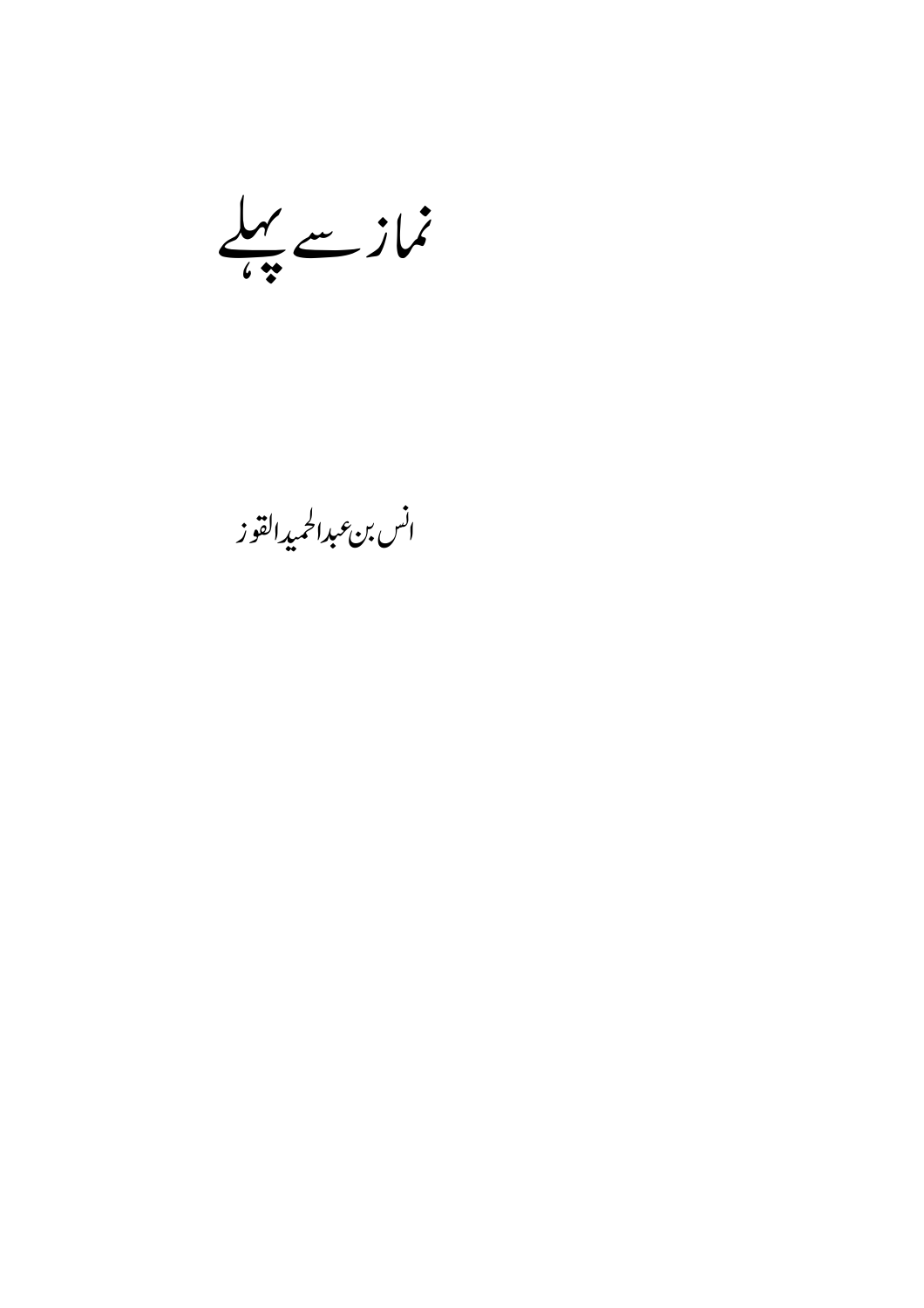نمازے پہلے

انس بن *ع*بدالحميدالقوز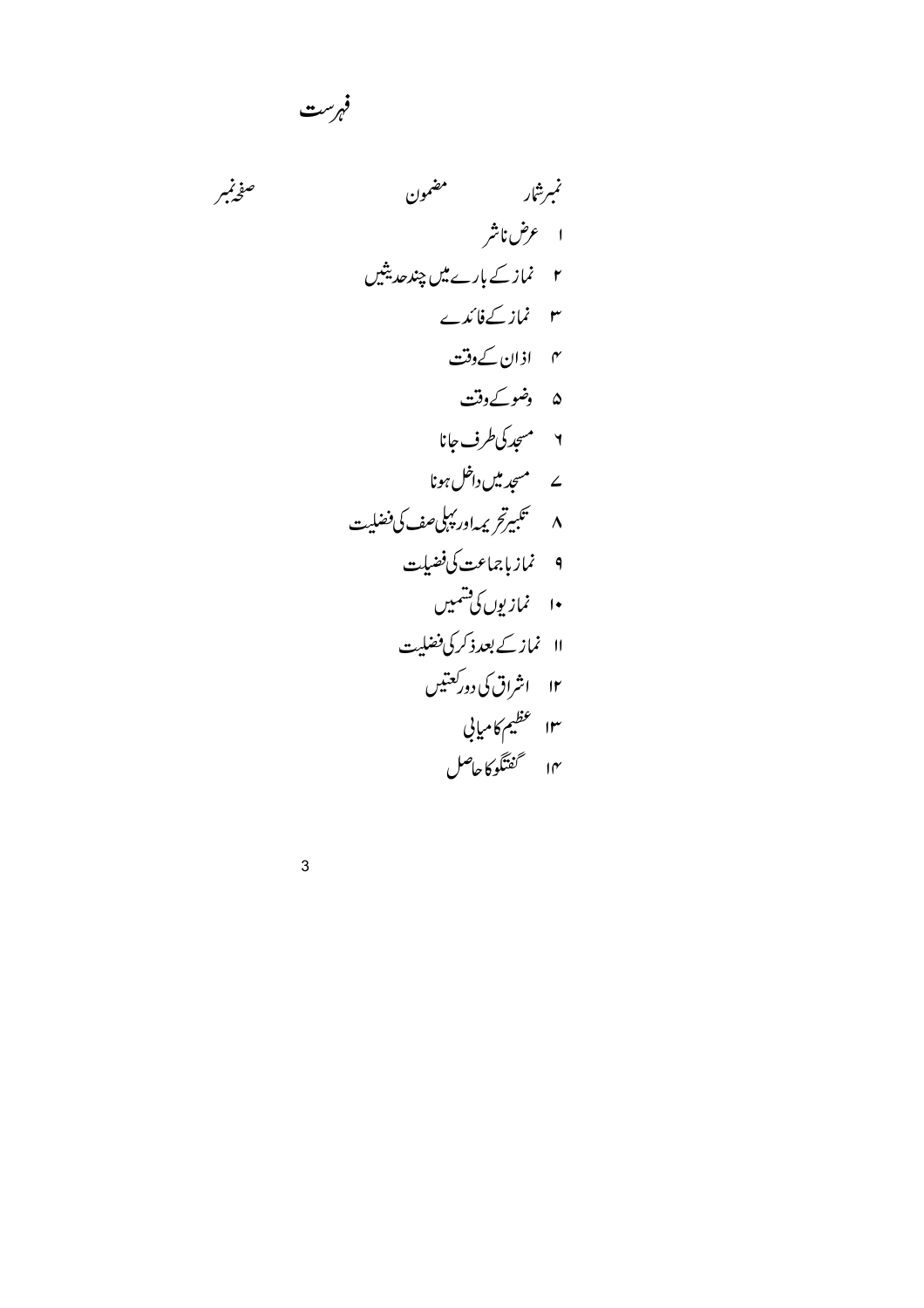نمبرشار مضمون صفحنبر ا عرض ناشر ۲ نماز کے بارے میں چند حدیثیں ۳ نماز کےفائدے ۴ اذان کے **دقت** ۵ دضوکےدفت ۲ مىچدكى طرف جانا ے مسجد میں داخل ہونا ۸ گلبیرتر پراور پېلىصف كى فضلیت ۹ نماز باجماعت کی فضیلت ۱۰ نمازیوں کی شمیں ۱۱ نمازکے بعدذ کرکی فضلیت ۱۲ اشراق کی دورکعتیں ۱۳ عظیم کامیابی ۱۴ گفتگوکاحاصل

فہرست

 $\mathbf{3}$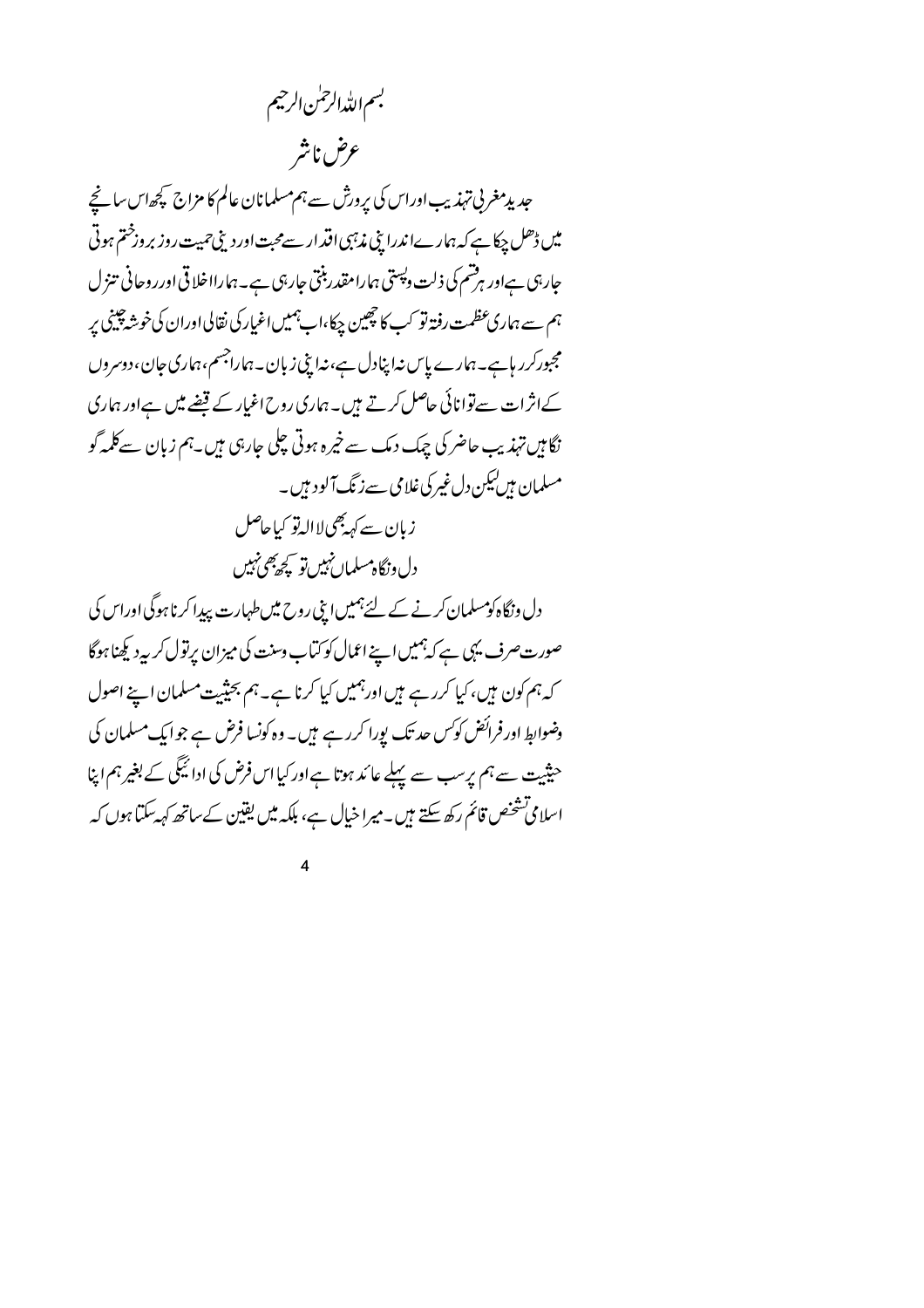بسم الله الرحمٰن الرحيم عرض ناشر

جدیدمغر پی تہذیب اوراس کی پرورش سے ہم مسلمانان عالم کا مزاج کچھاس سانچے میں ڈھل چکاہے کہ ہمارےا ندرا بنی مذہبی اقدار سے محبت اور دینی حمیت روز بروزختم ہوتی جاربی ہےاور ہرشم کی ذلت دیپتی ہمارامقدر بنتی جاربی ہے۔ہمارااخلاقی اورروحانی تنزل ہم سے ہماری عظمت رفتہ تو کب کا چھین چکا،اب ہمیں اغیار کی نقالی اوران کی خوشہ چینی پر مجبورکرر ہاہے۔ہمارے پاس نہا پنادل ہے،نیا بنی زبان۔ہماراجسم،ہماری جان،دوسروں کےانژات سے توانائی حاصل کرتے ہیں۔ہماری روح اغیار کے قبضے میں ہےاور ہماری نگامیں تہذیب حاضر کی چک دمک سے خیرہ ہوتی چلی جارہی میں۔ہم زبان سےکلمہ گو مسلمان ہیں کیکن دل غیر کی غلامی سے زنگ آلود ہیں۔ زيان سے کہہ بھی لاالہ تو کیاحاصل دل ونگاه مسلمان نہیں تو کیچ پھی نہیں

دل ونگاہ کومسلمان کرنے کے لئے ہمیں ابنی روح میں طہارت پیدا کرنا ہوگی اوراس کی صورت صرف یہی ہے کہ ہمیں اپنے اعمال کو کتاب وسنت کی میزان پرتول کربیہ دیکھنا ہوگا کہ ہم کون ہیں، کیا کررہے ہیں اورہمیں کیا کرنا ہے۔ ہم بحیثیت مسلمان اپنے اصول وضوابط اور فرائض کوکس حد تک پورا کرر ہے ہیں۔ وہ کونسا فرض ہے جو ایک مسلمان کی حثیت سے ہم پرسب سے پہلے عائد ہوتا ہےاور کیااس فرض کی ادائیگی کے بغیر ہم اپنا اسلامی تشخص قائم رکھ سکتے ہیں۔میرا خیال ہے، بلکہ میں یقین کےساتھ کہ یہ کتیا ہوں کہ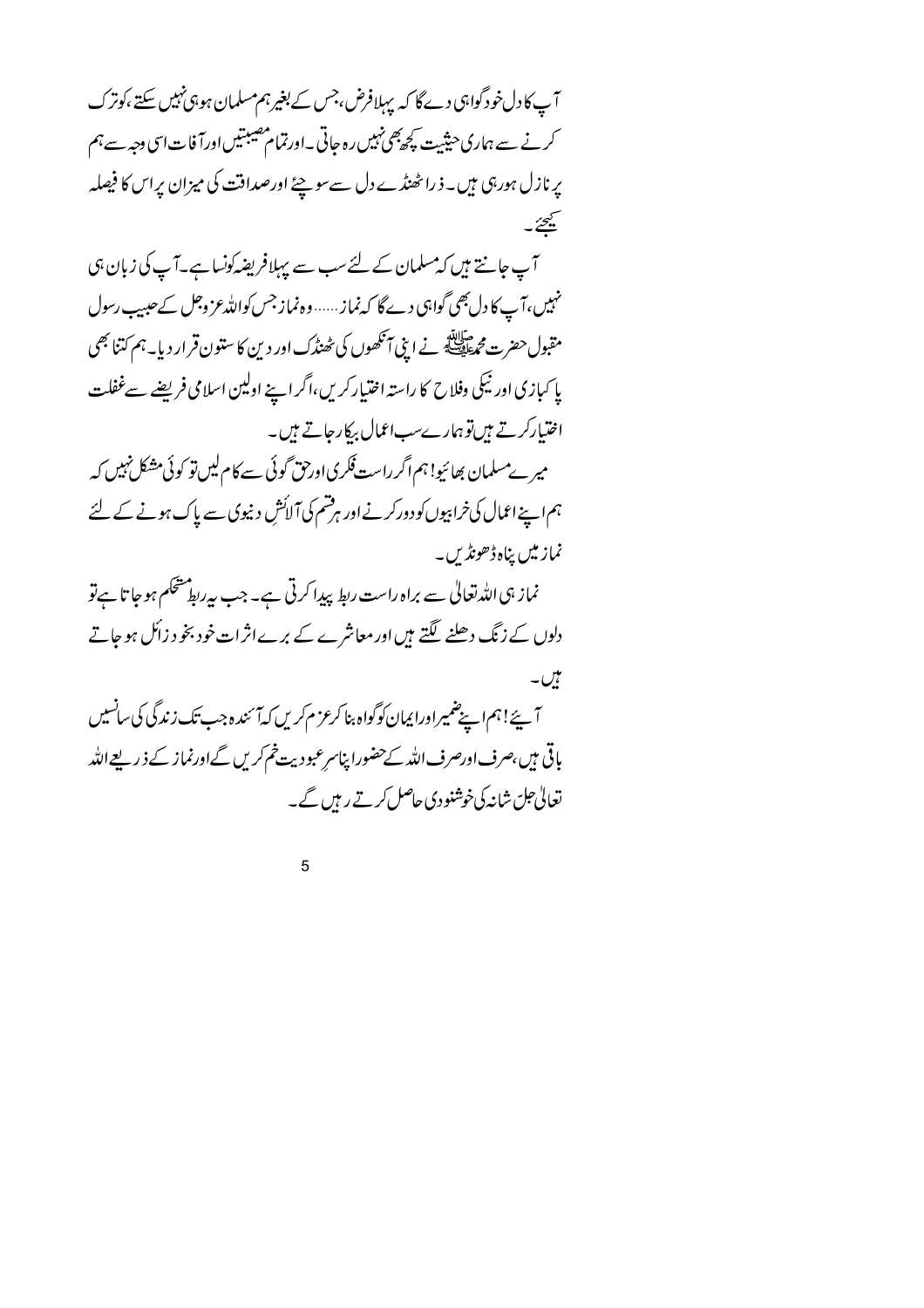آپ کا دل خود گواہی دے گا کہ پہلافرض،جس کے بغیرہم مسلمان ہو،پی نہیں سکتے ،کوترک کرنے سے ہماری حیثیت کچھ پھی نہیں رہ جاتی ۔اورتمام مصیبتیں اورآ فات اسی دجہ سے ہم یرنازل ہورہی ہیں۔ ذراٹھنڈے دل سےسوچئے اورصداقت کی میزان پراس کا فیصلہ يحيئ آپ جانتے ہیں کہ مسلمان کے لئے سب سے پہلافریضہ کونسا ہے۔آپ کی زبان ہی نہیں،آے کا دل بھی گواہی دے گا کہ نماز...... وہ نماز جس کواللہ عز وجل کے حیبیب رسول .<br>مقبول حضرت محمطاطیله نے اینی آنکھوں کی ٹھنڈک اور دین کا ستون قرار دیا۔ہم کتنا بھی پا کیازی اور ٹیکی وفلاح کا راستہ اختیار کریں،اگر اپنے اولین اسلامی فریضے سےغفلت اختیارکرتے ہیںتوہمارےسب اعمال بیکارجاتے ہیں۔

میر ےمسلمان بھائیو! ہم اگر راست فکری اورحق گوئی سے کام لیں تو کوئی مشکل نہیں کہ ہم اپنے اعمال کی خرابپوں کو دورکرنے اور ہرفتم کی آ لائش دنیوی سے پاک ہونے کے لئے نماز میں پناہ ڈھونڈیں۔

نماز ہی اللہ تعالیٰ سے براہ راست ربط پیدا کرتی ہے۔ جب بیرربط مشحکم ہوجا تا ہے تو دلوں کے زنگ دھلنے لگتے ہیں اور معاشرے کے برےاثرات خود بخو د زائل ہو جاتے ٹیں۔

آیئے! ہم اپنے ضمیر اورا یمان کوگواہ بنا کرعز م کریں کہآ ئندہ جب تک زندگی کی سانسیں باقی ہیں،صرف اورصرف اللہ کےحضورا پناسرعبودیت خم کریں گےاورنماز کے ذیریعےاللہ تعالی جل شانہ کی خوشنودی حاصل کرتے رہیں گے۔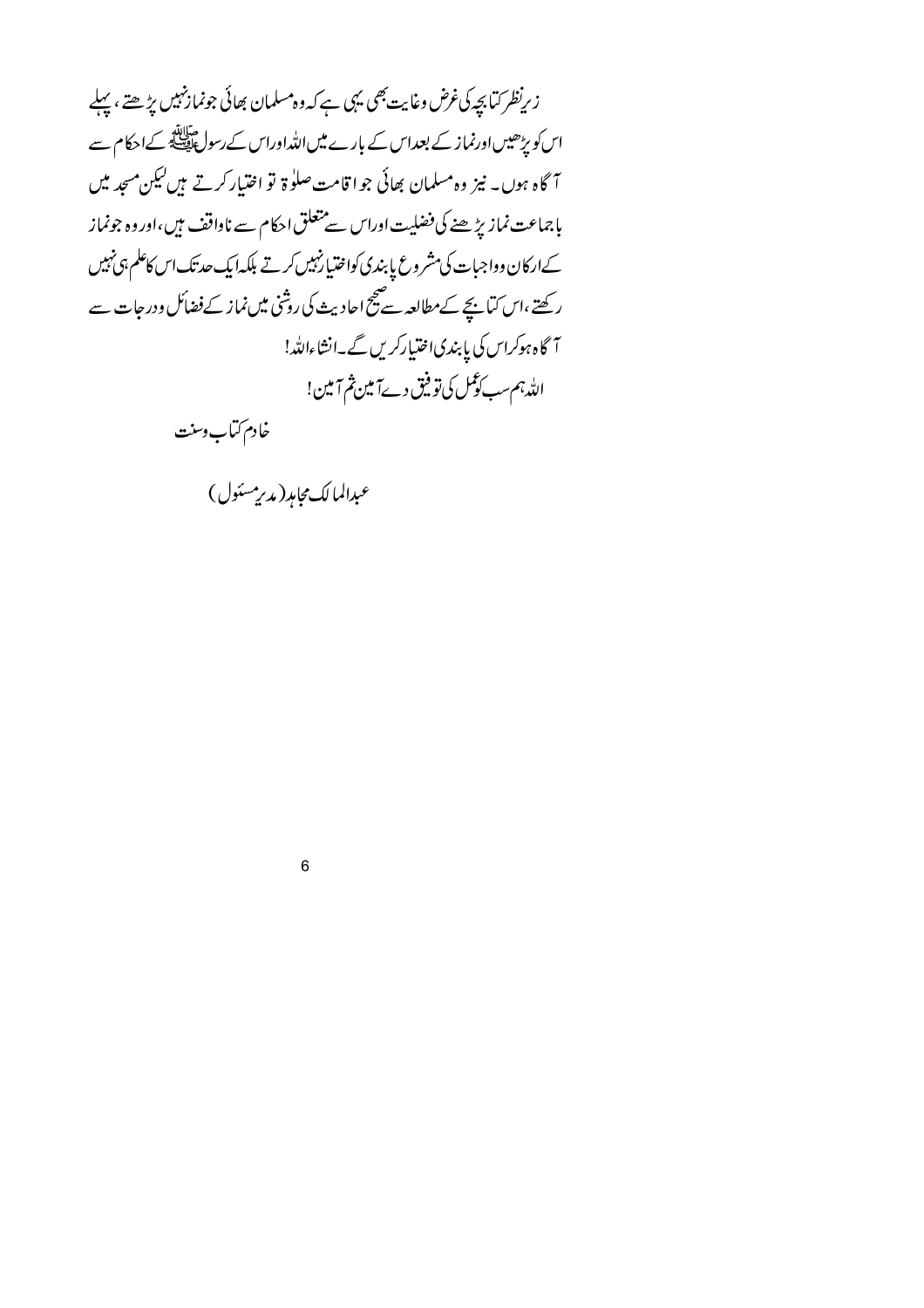زىرنظر كتابچە كى غرض وغايت بھى يہى ہے كہ وہ مسلمان بھائى جونمازنہيں پڑھتے ، پہلے اس کو پڑھیں اورنماز کے بعداس کے بارے میں اللہ اوراس کے رسول ایک کے احکام سے آگاہ ہوں۔ نیز وہ مسلمان بھائی جوا قامت صلوٰۃ تو اختیار کرتے ہیں کیکن مسجد میں بإجماعت نمازيڑھنے کی فضلیت اوراس سے متعلق احکام سے ناواقف ہیں،اور وہ جونماز کےارکان وواجبات کی مشروع پا بندی کواختیارنہیں کرتے بلکہا یک حدتک اس کاعلم ہی نہیں رکھتے ،اس کیاہیجے کےمطالعہ سے پیچ احادیث کی روشنی میں نماز کے فضائل ودر جات سے آگاہ ہوکراس کی پابندی اختیارکریں گے۔انشاءاللہ! الله ہم سب کوکس کی تو فیق دےآمین ثم آمین!

خادم كتاب وسنت

عبدالمالك مجامد (مدير مسئول )

 $6\phantom{a}$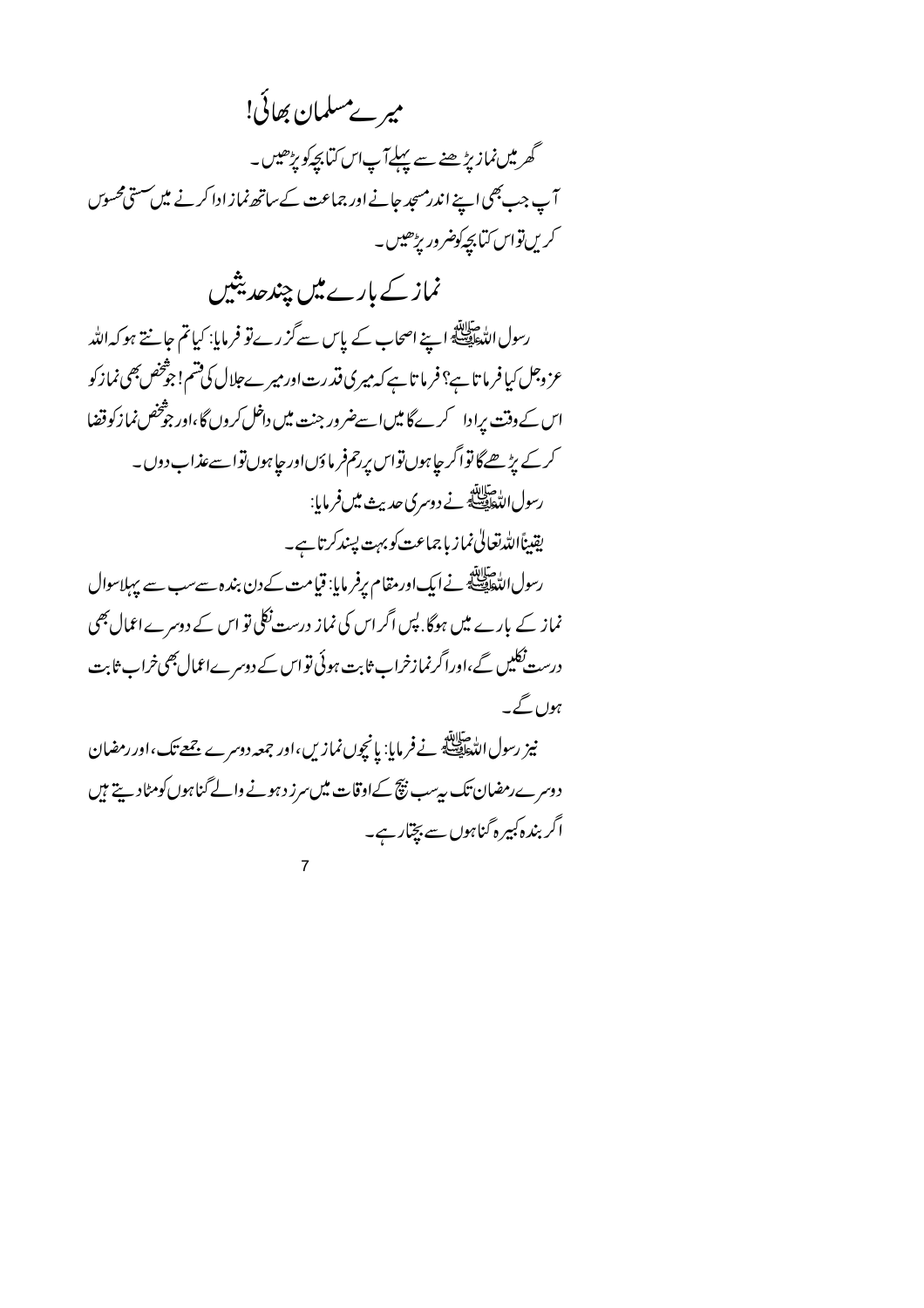میر ےمسلمان بھائی! گھرمیں نمازیڑھنے سے پہلےآپاس کیا بچہ کو پڑھیں۔ آپ جب بھی اپنے اندرمسجد جانے اور جماعت کے ساتھ نماز ادا کرنے میں سستی محسوس کریںتواس کتابچے کوضرور بڑھیں۔

نماز کے بارے میں چند حدیثیں

رسول الدّٰهَ اللّٰہِ عَلَيْلَةِ اپنے اصحاب کے پاس سے گزرے تو فرمایا: کیا تم جانتے ہو کہ اللّٰہ عز وجل کیافر ما تاہے؟ فرما تاہے کہ میری فتدرت اور میرے جلال کی قسم! جوْخص بھی نماز کو اس کے وقت پرادا کرےگا میں اسےضرور جنت میں داخل کروں گا،اور جوثخص نماز کوقضا کرکے بڑھےگا تواگر جاہوں تواس پرحمفر ماؤںاور جاہوں تواسےعذاب دوں۔ رسول التَّطِيطِيَّةُ نے دوسری حدیث میں فرمایا: يقيناًالله تعالى نماز بإجماعت كوبهت يسندكرتا ہے۔ رسول الدُّهَائِيَّةِ نے ایک اور مقام یرفر مایا: قیامت کے دن بندہ سے سب سے پہلاسوال نماز کے بارے میں ہوگا. پس اگر اس کی نماز درست نکلی تو اس کے دوسرے اعمال بھی

درست نکلیں گے،اوراگرنمازخراب ثابت ہوئی تو اس کے دوسرےاعمال بھی خراب ثابت ہوں گے۔

نیز رسول الڈ ایلنڈ نے فرمایا: یانچوں نمازیں،اور جمعہ دوسرے جمعے تک،اور رمضان دوسرے رمضان تک بہ سب نیچ کےاوقات میں سرز دہونے والے گناہوں کومٹادیتے ہیں اگر بندہ کبیرہ گناہوں سے بچّار ہے۔

 $\overline{7}$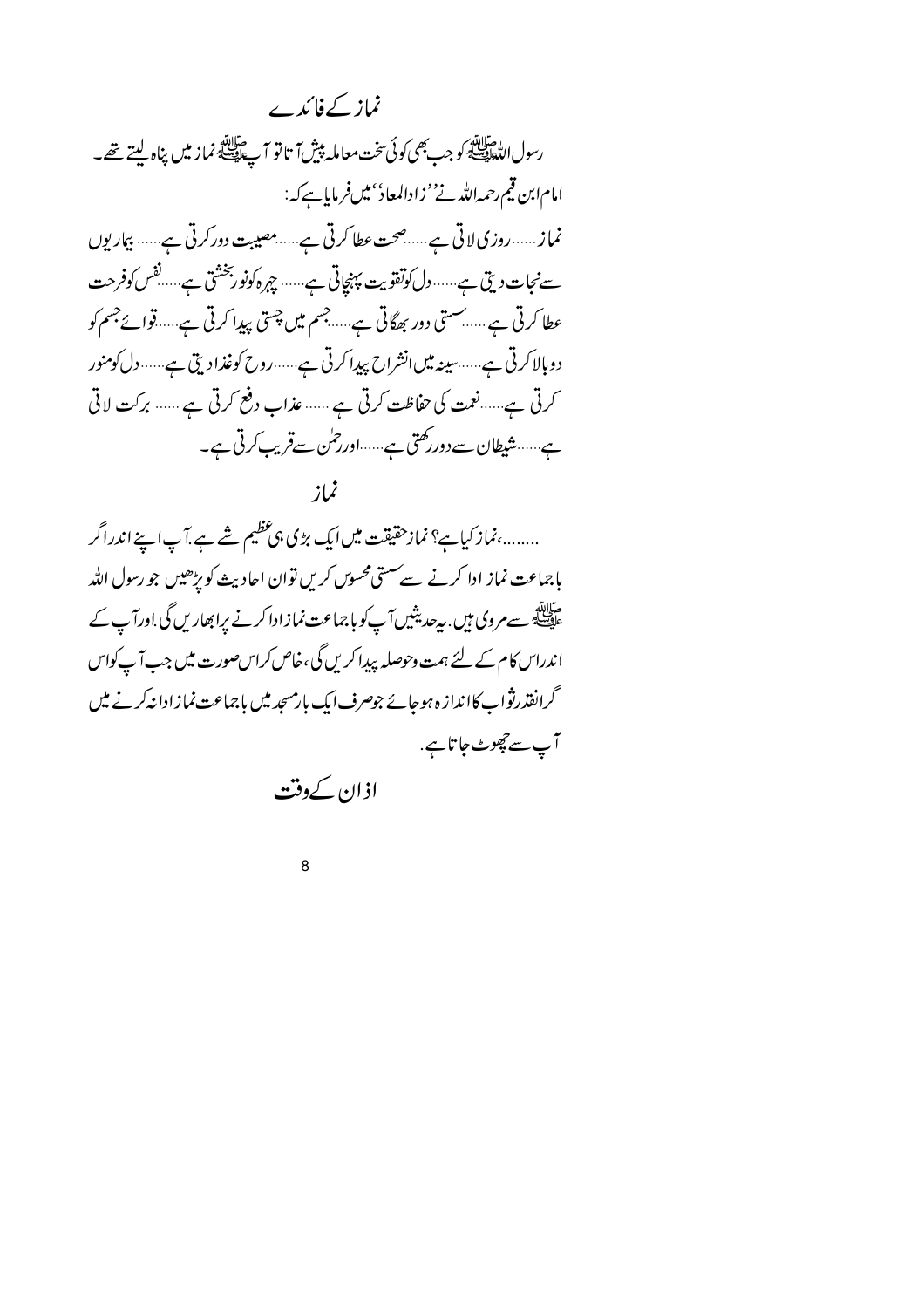نماز کےفائدے رسول اللّٰہَ لِيَا لَيْهِ كُوجب بِھی كُونَی تخت معاملہ پیش آ تا تو آ پے اَپِیَلَیْ نماز میں پناہ لیتے تھے۔ امام ابن قيم رحمه الله نے''زادالمعاد''ميںفر مايا ہے كہ: نماز......روزی لاتی ہے......صحت عطا کرتی ہے......مصیبت دورکرتی ہے...... بیماریوں سےنجات دیتی ہے......دل کوتفویت پہنچاتی ہے...... چہرہ کونو ربخشتی ہے.....نفس کوفرحت عطا کرتی ہے..... سستی دور بھگاتی ہے.....جسم میں چستی پیدا کرتی ہے.....قوائےجسم کو دوبالاکرتی ہے......سینہ میں انشراح پیدا کرتی ہے......روح کوغذادیتی ہے......دل کومنور کرتی ہے......نعمت کی حفاظت کرتی ہے ...... عذاب دفع کرتی ہے ...... برکت لاتی ہے.......شیطان سے دوررکھتی ہے......اور رحمٰن سےقریب کرتی ہے۔ نماز

........،نماز کیاہے؟ نمازحقیقت میں ایک بڑی ہی عظیم شے ہے.آپ اپنے اندراگر بإجماعت نماز ادا کرنے سے ستی محسو*ں کری*ں توان احادیث کو پڑھیں جو رسول اللہ ۔<br>علیہ کچھ سے مروی ہیں . بیرحدیثیں آپ کو باجماعت نمازادا کرنے پراپھاریں گی .اورآپ کے اندراس کام کے لئے ہمت وحوصلہ پیدا کریں گی،خاص کراس صورت میں جب آپ کواس گرانفذر نوْاب کاانداز ہ ہوجائے جوصرف ایک بارمسجد میں باجماعت نمازادانہ کرنے میں آپ سے حچھوٹ جاتا ہے. اذان کے دفت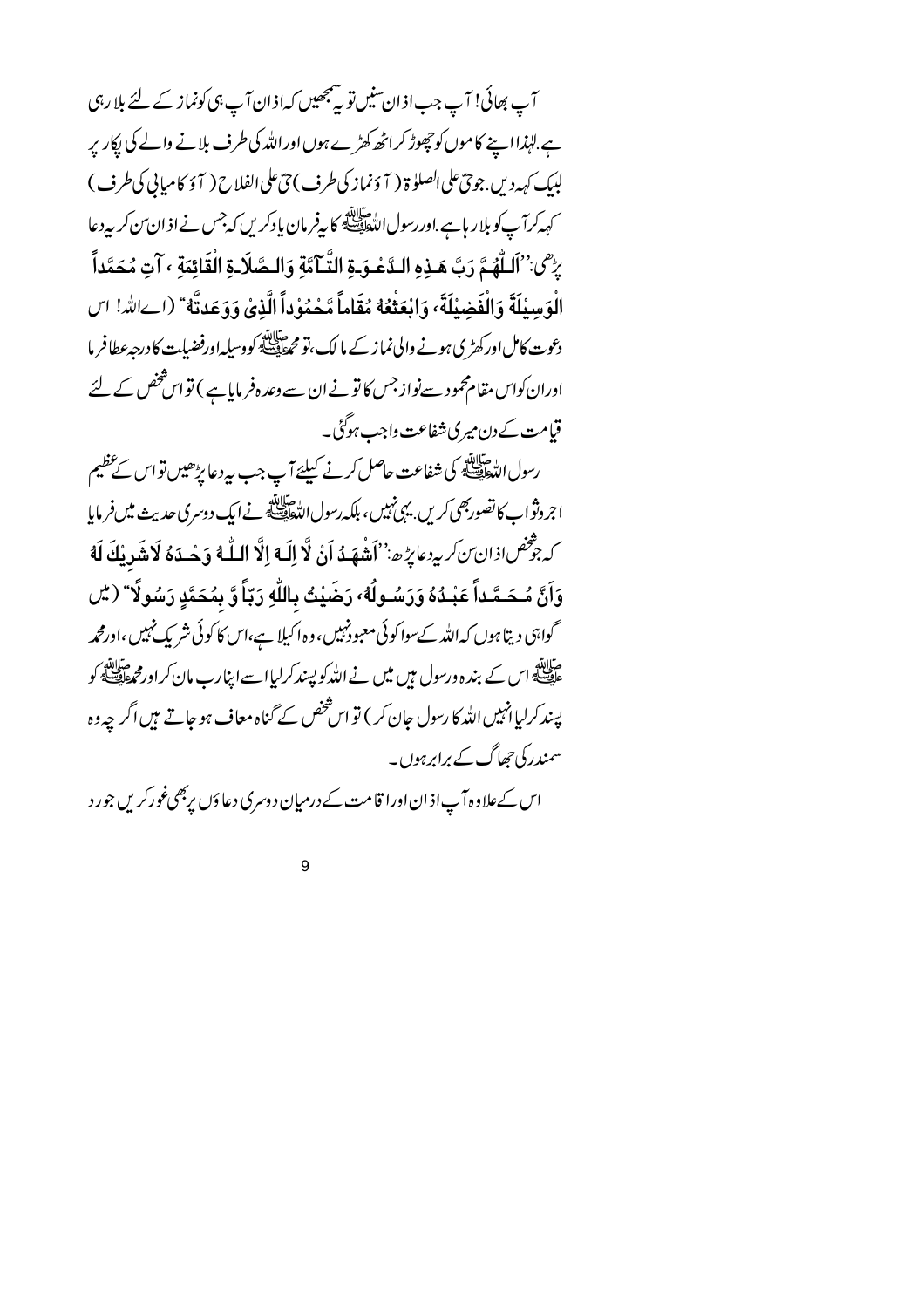آپ بھائی! آپ جب اذان سنیں تو پینجھیں کہاذان آپ ہی کونماز کے لئے بلا رہی ہے ِلہٰذا اپنے کاموں کو حچھوڑ کراٹھ کھڑے ہوں اوراللہ کی طرف بلانے والے کی پکار پر لېيك كېمەد يں جوچ على الصلو ة ( آ ؤنماز كى طرف ) چٌ على الفلاح ( آ ؤ كاميايى كى طرف ) کہہ کرآ پ کو بلار ہاہے .اوررسول اللّٰہ اللّٰہ کا پیغر مان پادکریں کہ<sup>جس</sup> نے اذ ان ِّن کر بیرد عا يرُّ<sup>ص:''</sup>اَلْبُلُّهُمَّ رَبَّ هَـذِهِ الـدَّعْـوَ-ةِ التَّـآمَّةِ وَالـصَّلَا-ةِ الْقَائِمَةِ ، آتِ مُحَمَّداً الْوَسِيْلَةَ وَالْفَضِيْلَةَ، وَابْعَثْعُهُ مُقَاماً مَّحْمُوْداً الَّذِي وَوَعَدتَّهُ ۚ (اےالله! اس دعوت کاملاورکھڑی ہونے والی نماز کے مالک،تو محطایف کووسیلہ اورفضیات کا درجہءطافر ما اوران کواس مقام محمود سےنواز جس کا تو نے ان سے وعد ہفر مایا ہے ) تو اس شخص کے لئے قیامت کےدن میری شفاعت واجب ہوگئی۔

رسول العطائلة<br>رسول الت<sub>خ</sub>طِي<u>عة</u> كي شفاعت حاصل كرنے كيلئے آپ جب بي<sub>د</sub>د عا بڑھيں تو اس كے عظيم اجروثواب کانصوربھی کریں بہی نہیں، بلکہ رسول اللہ ﷺ نے ایک دوسری حدیث میں فرمایا كِ جَرّْحْصِ إِذَانِ ٓنَ كَرِيدِهِ عَائِزُهِ ۚ ۚ ''أَشْهَـٰهُ إَنْ لَّا إِلَٰهَ إِلَّا اللَّهُ وَجْبِدَهُ لَاشَدِينُكَ لَهُ وَأَنَّ مُـحَـمَّـداً عَبْـدُهُ وَرَسُـولُهُ، رَضَيْتُ بِاللَّهِ رَبَّاً وَّ بِمُحَمَّدٍ رَسُولًا ۚ ( يُل گواہی دیتا ہوں کہ اللہ کےسوا کوئی معبود ُہیں، وہ اکیلا ہے،اس کا کوئی شریک نہیں،اورمحمہ متلاتئہ<br>علق کے اس کے بندہ ورسول ہیں میں نے اللہ کو پسند کرلیاا سے اپنا رب مان کراورم علقہ کو پسند کرلیا انہیں اللہ کا رسول جان کر ) تو اس شخص کے گناہ معاف ہوجاتے ہیں اگر چہ وہ سمندر کی جھاگ کے برابرہوں۔

اس کےعلاوہ آپ اذ ان اورا قامت کے درمیان دوسری دعاؤں پربھیغورکریں جورد

 $\mathbf{Q}$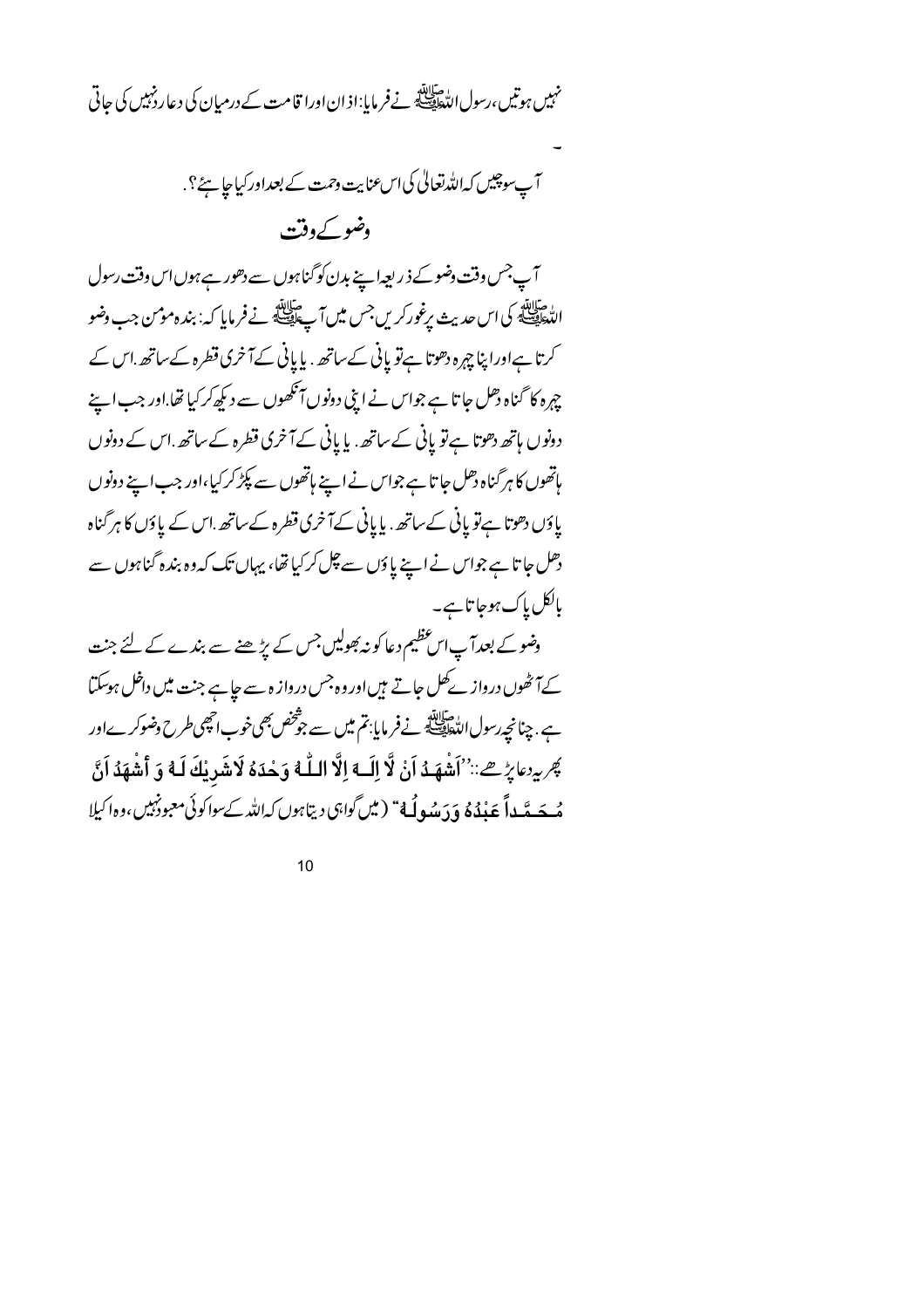نہیں ہوتیں،رسول اللّٰہﷺ نےفر مایا:اذان اورا قامت کےدرمیان کی دعا رفہبیں کی حاتی

آب سوچیں کہ اللہ تعالیٰ کی اس عنایت وحمت کے بعداور کیاجا ہے؟. وضو کے وقت

آپ جس وقت دضوکے ذریعہ اپنے بدن کو گناہوں سے دھور ہے ہوں اس وقت رسول الدّحالِيّةِ كي اس حديث يرغوركريں جس ميں آپ السّالِيّة نے فرمایا كہ: بندہ موس جب وضو کرتا ہےاوراپنا چہرہ دھوتا ہےتو پانی کےساتھ . پا پانی کےآخری قطرہ کےساتھ .اس کے چہرہ کا گناہ دھل جا تا ہے جواس نے اپنی دونوںآ تکھوں سے دیکھ کرکیا تھا.اور جب اپنے دونوں ہاتھ دھوتا ہےتو پانی کے ساتھ. یا پانی کےآخری قطرہ کے ساتھ اس کے دونوں ہاتھوں کا ہرگناہ دھل جا تا ہے جواس نے اپنے ہاتھوں سے پکڑ کرکیا،اور جب اپنے دونوں یاؤں دھوتا ہےتو پانی کےساتھ. پا پانی کےآخری قطرہ کےساتھ اس کے پاؤں کا ہر گناہ دھل جا تا ہے جواس نے اپنے پاؤں سے چل کرکیا تھا، یہاں تک کہ وہ بندہ گناہوں سے بالکل پاک ہوجا تاہے۔

وضوکے بعدآپاس عظیم دعا کو نہ بھولیں جس کے پڑھنے سے بندے کے لئے جنت کےآ ٹھوں درواز کے کل جاتے ہیں اور وہ جس درواز ہ سے جاہے جنت میں داخل ہوسکتا ہے . چنانچہ رسول التّعالِمُ فَسَلّالِلّهِ فِسلّة فِي مُسلّ سے جوْحْص بھی خوب احیجی طرح وضوکرےاور يَجْرِيرِ مَائِرِ صِ: ``أَشْهَدُ أَنْ لَا إِلَــهِ إِلَّا اللَّــهُ وَحْدَهُ لَاشَرِيْكَ لَـهُ وَ أَشْهَدُ أَنَّ مُه يَسَه يَّد أَبَعَ بِذْهُ وَ دَمِيْبِولُهُ ۚ ( مِيْنَ كُوابْنِ) دِيتَابِونِ كِدائلا كَ سِينَ الْمَ الله الل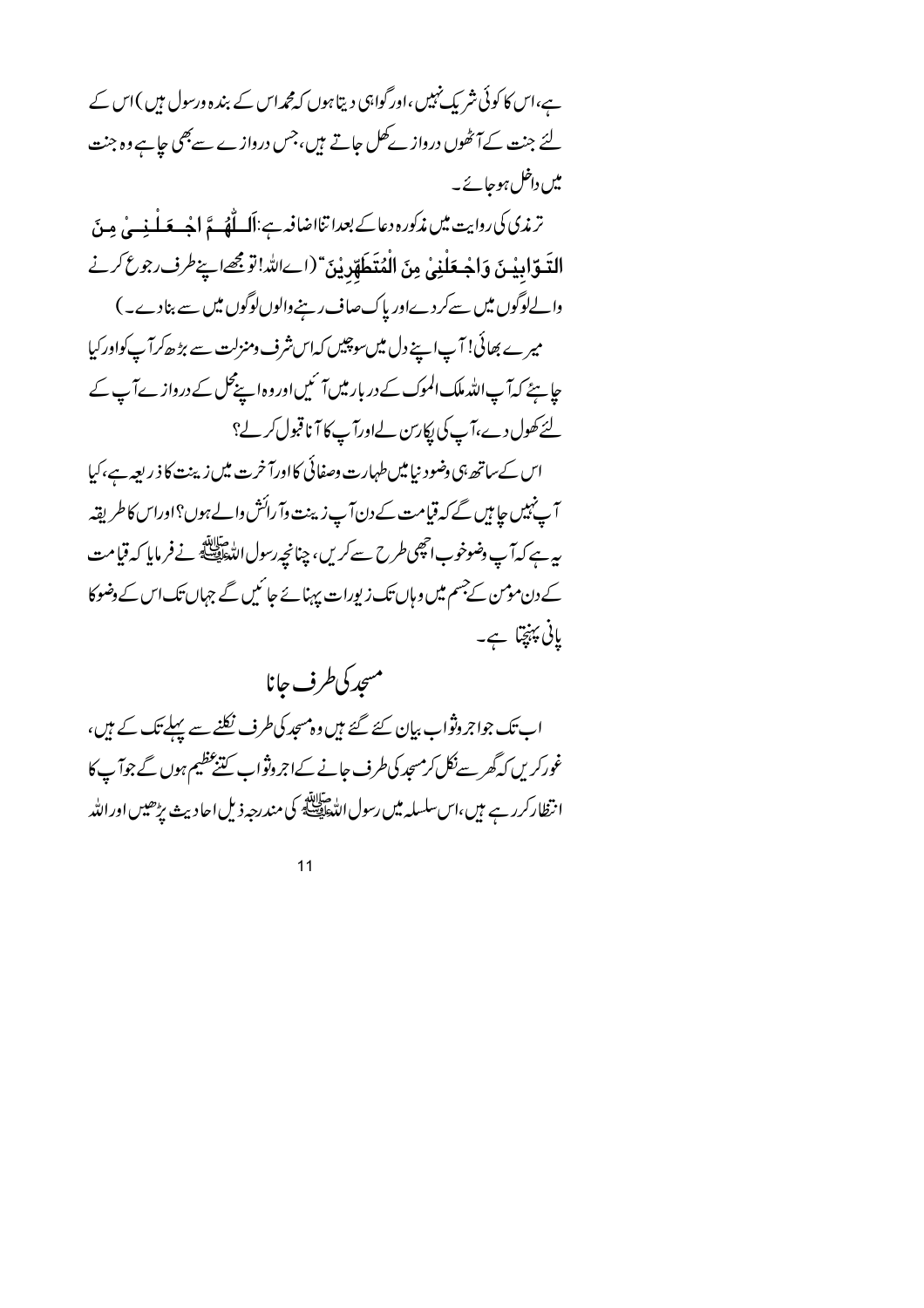ہے،اس کا کوئی شریک نہیں ،اور گواہی دیتا ہوں کہ مجمداس کے بندہ ورسول ہیں )اس کے لئے جنت کےآٹھوں درواز کے کل جاتے ہیں،جس درواز ے سے بھی جاہے وہ جنت میں داخل ہوجائے۔

ترندی کی روایت میں مذکورہ دعاکے بعدا تنااضافیہ ہے:اَک اُٹھ گے اجبے مَلْینے پی جِینَ التَعَوّابِيْينَ وَاجْعَلْنِي مِنَ الْمُتَعَلِّهْدِيْنَ "(إِسَاللَّهُ!'تَوجَهَ اپنےطرف جوع كرنے والےلوگوں میں سےکردےاور پاک صاف رہنےوالوںلوگوں میں سے بنادے۔) میرے بھائی! آپاہے دل میں سوچیں کہاس شرف ومنزلت سے بڑھ کرآپ کواور کیا حایئے کہآ پ اللہ ملک الموک کے دربار میں آ ئیں اور وہ اپنےمحل کے دروازے آپ کے لئے کھول دے،آپ کی پکارتن لےاورآپ کا آناقبول کرلے؟

اس کےساتھ ہی وضود نیامیں طہارت وصفائی کااورآ خرت میں زینت کا ذ ریعہ ہے،کیا آپ نہیں جا ہیں گے کہ قیامت کے دن آپ زینت وآ رائش والے ہوں؟اوراس کا طریقہ بيرہے كہ**آپ دضوخوب اتھى** *طر***ح سے كريں، چنانچ**رسول اللہﷺ نے فرمایا كہ قیامت کے دن مومن کے جسم میں و ہاں تک زیورات پہنائے جا ئیں گے جہاں تک اس کے دضوکا یانی پہنچتا ہے۔

مسجد كى طرف حانا اب تک جواجر وثواب بیان کئے گئے ہیں وہ مسجد کی طرف نکلنے سے پہلے تک کے ہیں، غورکریں کہ گھرسےنکل کرمسچد کی طرف جانے کےاجروثواب کننگ عظیم ہوں گے جوآپ کا انتظار *کر*ر ہے ہیں،اس سلسلہ میں رسول اللّٰحافِی کے مندرجہ ذیل احادیث بڑھیں اور اللّٰہ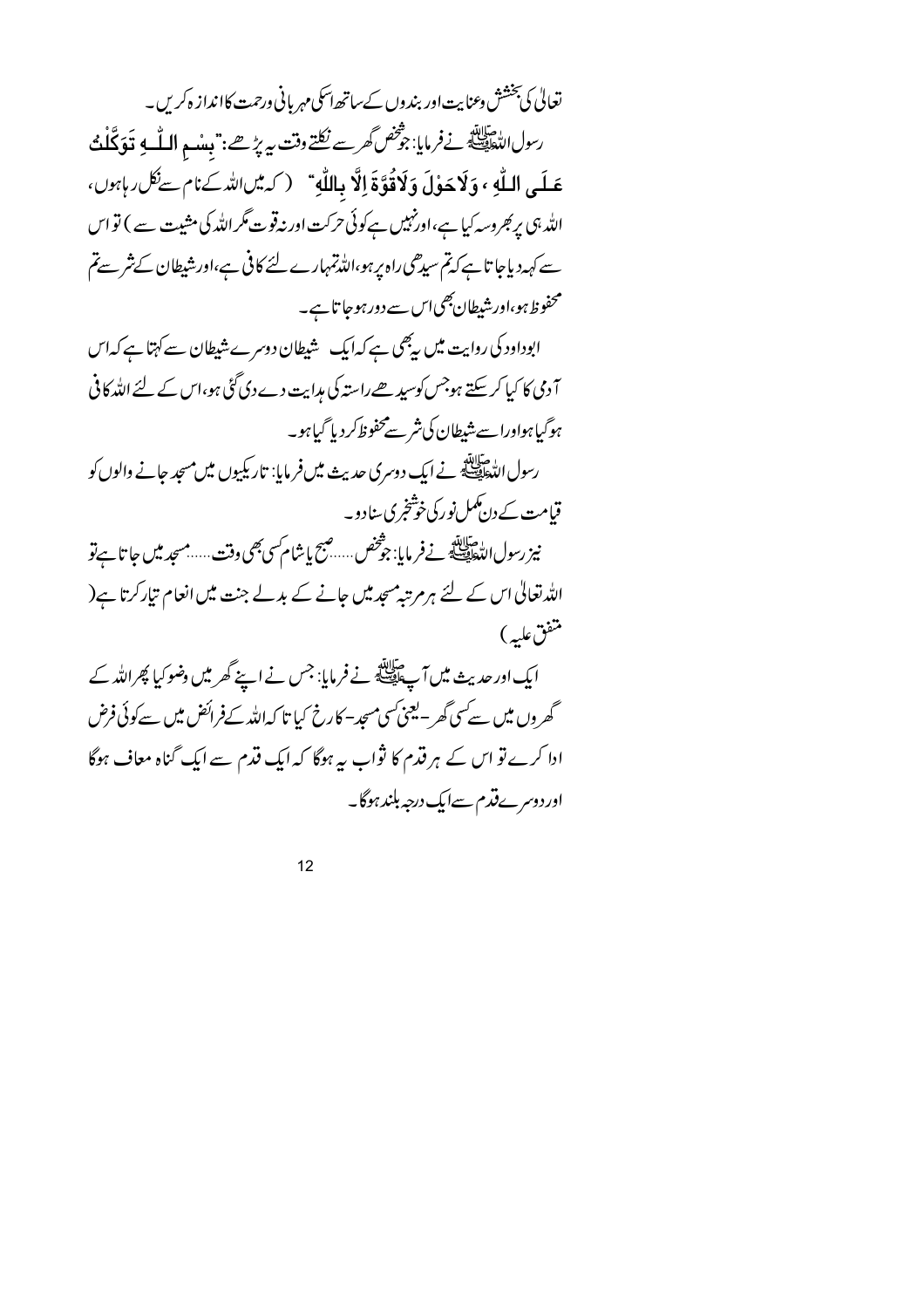تعالیٰ کی بخشش <sub>وعمنا</sub>یت اور بندوں کےساتھ اسکی مہر بانی ورحمت کاانداز ہ کریں۔ رسول لاحقاقة نے فرمایا: ج*وْخص گھرسے ن*كلتے وقت سے پڑھے: " بِعدْ مِ **اللّٰہ** لِا قَوَكَلْتُ عَلَى اللَّهِ ، وَلَاحَوْلَ وَلَاقُوَّةَ إِلَّا بِاللَّهِ ۚ ( كِهِيںاللَّهِ كِنَامٍ سِنْكَلِ رِبِهِوں، اللہ ہی پر کبر دسہ کیا ہے،اورنہیں ہےکوئی حرکت اور نہ قوت مگر اللہ کی مشیت سے ) تو اس سے کہہ دیاجا تاہے کہ تم سیدھی راہ پر ہو،اللہ تمہارے لئے کافی ہے،اور شیطان کے شر سے تم محفوظ ہو،اور شیطان بھی اس سے دور ہوجا تاہے۔ ابوداود کی روایت میں رہجی ہے کہا یک شیطان دوسرے شیطان سے کہتا ہے کہا س آ دمی کا کیا کرسکتے ہوجس کوسیدھےراستہ کی مدایت دے دی گئی ہو،اس کے لئے اللہ کافی ہوگیاہواورا سے شیطان کی شر سے محفوظ کر دیا گیاہو۔ رسول الدّٰه اللّٰهِ عليه اللّٰهُ عنه اللّٰهِ عنه عليه اللّٰهُ عنه اللّٰهِ عنه اللّٰهُ عنه اللّٰهُ عن مسجد حالے والوں کو قیامت کے دن کمل نور کی خوشخری سادو۔ نيز رسول اللطيطينية في فرمايا: جوْخص .....صبح بإشام سي بھي وقت ......مسجد ميں جا تا ہے تو اللہ تعالیٰ اس کے لئے ہر مرتبہ مسجد میں جانے کے بدلے جنت میں انعام تیار کرتا ہے( متفق عليه) ایک اور حدیث میں آ پﷺ نے فرمایا: جس نے اپنے گھر میں وضو کیا پھراللہ کے گھروں میں سے سی گھر - یعنی سی مسجد- کارخ کیا تا کہ اللہ کےفرائض میں سے کوئی فرض ادا کرے تو اس کے ہر قدم کا ثواب ہہ ہوگا کہ ایک قدم سے ایک گناہ معاف ہوگا اوردوسرےقدم سےایک درجہ بلندہوگا۔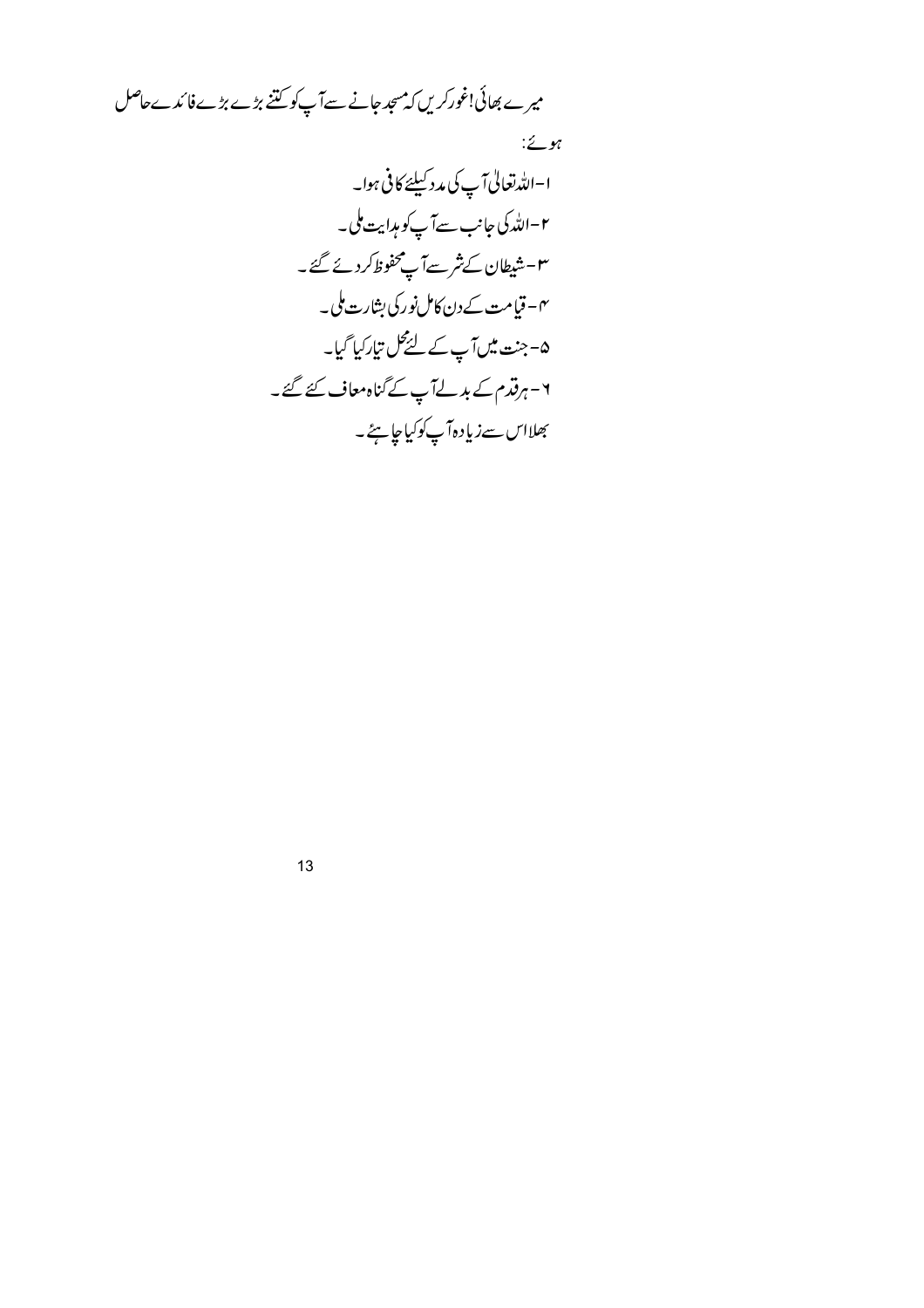میرے بھائی!غورکریں کہ میجد جانے سےآپ کو کتنے بڑے بڑے فائدےحاصل

 $\stackrel{?}{\sim}$  yt

 $13$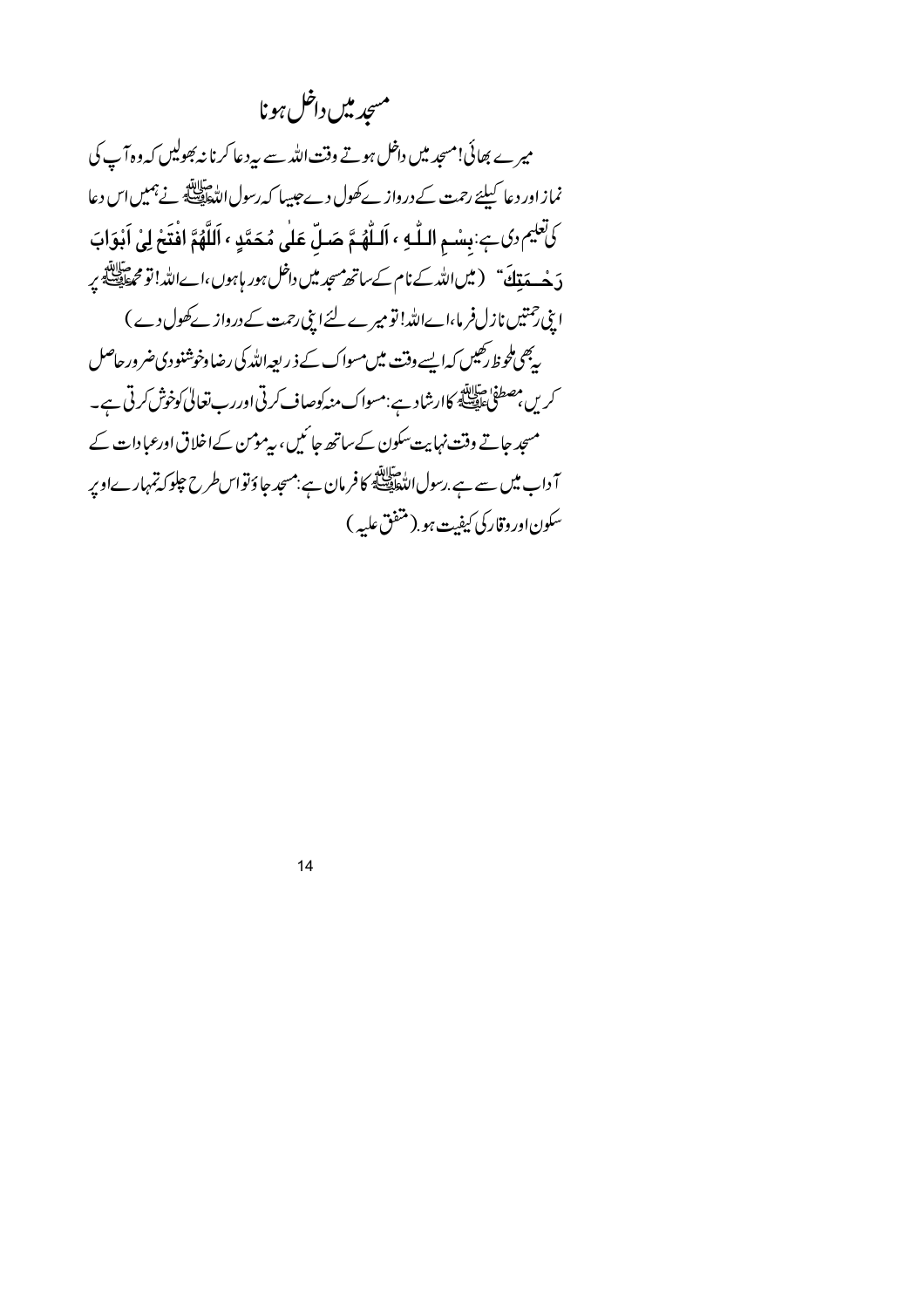## مسجديين داخل ہونا

میرے بھائی!مسجد میں داخل ہوتے وقت اللہ سے بیہ دعا کرنا نہ بھولیں کہ وہ آپ کی نماز اور دعا کیلئے رحمت کے درواز کے کھول دے جیسا کہ رسول اللہ الصلات ہے جمیں اس دعا كَافِلِيمِ دِكِ بِ بِسْمِ اللَّهِ ، اَللَّهُمَّ صَلِّ عَلَى مُحَمَّدٍ ، اَللَّهُمَّ افْتَحْ لِيْ اَبْوَابَ دَ هُــدَيْنَكَ ۚ (ميں الله کے نام کےساتھ مسجد ميں داخل ہور ہاہوں،اےالله! تو محمطة الله ميں اپنی جمتیں نازل فرما،اےاللہ! تومیرے لئے اپنی رحمت کے دروازے کھول دے) ۔<br>یہ بھی طوظ رکھیں کہ ایسے وقت میں مسواک کے ذیر اجہ اللہ کی رضا دخوشنودی ضرور حاصل کریں مصطفیٰ حقایقہ کاارشاد ہے:مسواک منہ کوصاف کرتی اوررب تعالیٰ کوخوش کرتی ہے۔ مسجد جاتے وقت نہایت سکون کے ساتھ جا ئیں، بیرموس کےاخلاق اورعبادات کے ۔<br>آ داب میں سے ہے .رسول اللہ الصلحی کا فرمان ہے :مسجد جا وَ تواس طرح چلو کہ تمہمارےاوپر سكون اور وقاركي كيفت ہو ( متفق عليه )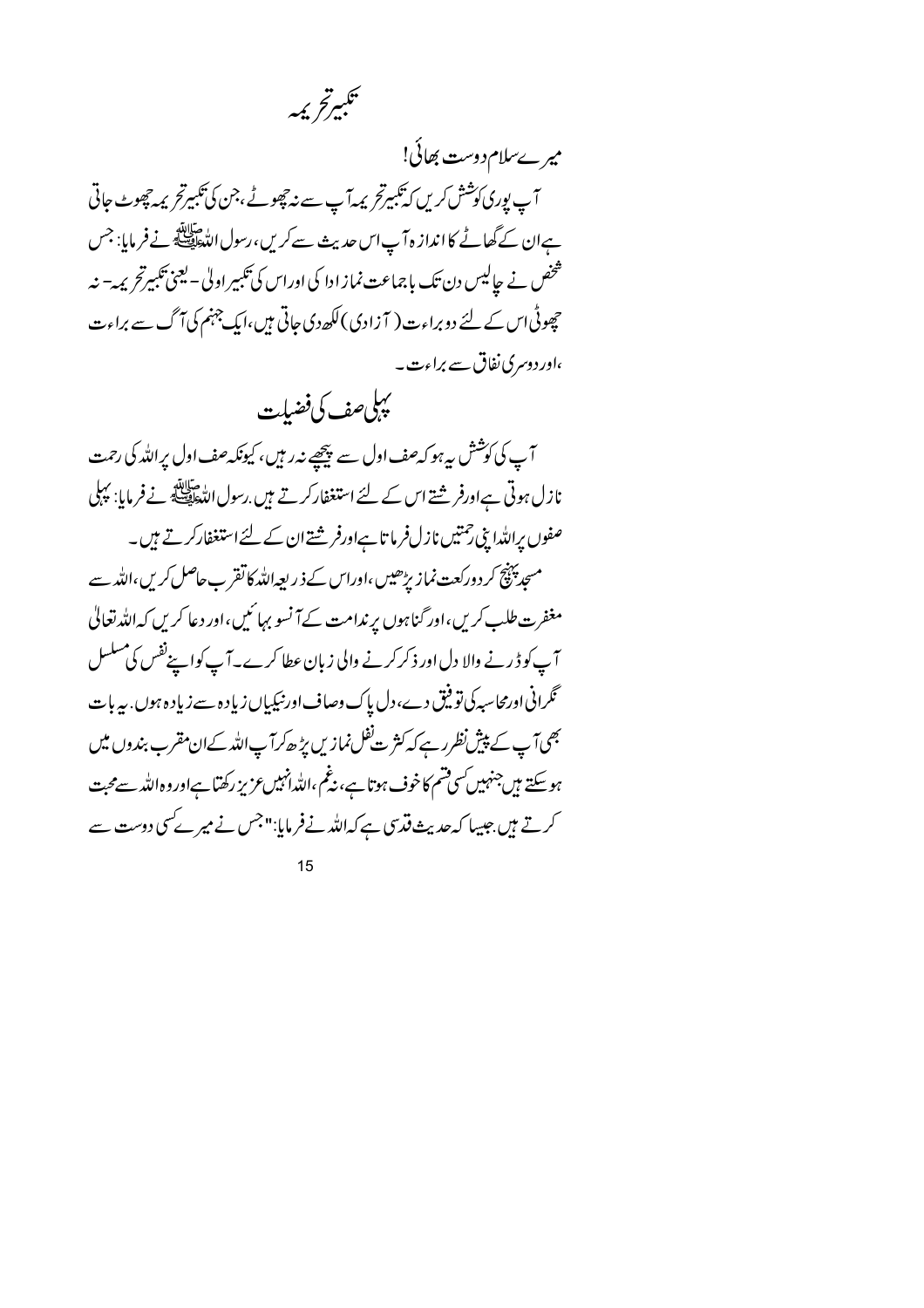

میرےسلام دوست بھائی! آپ یوری کوشش کریں کہ تکبیرتحر پر آپ سے نہ چھوٹے ،جن کی تکبیرتحر پر چھوٹ جاتی ہےان کے گھاٹے کا انداز ہ7پ اس حدیث سے کریں، رسول اللّٰہﷺ نے فرمایا: جس شخص نے جالیس دن تک باجماعت نماز ادا کی اوراس کی تکبیر اول<sup>ی ۔ ا</sup>ینی تکبیرتح یم*ہ –* نہ حچھوٹی اس کے لئے دو براءت( آزادی) لکھ دی جاتی ہیں،ایک جہنم کی آگ سے براءت ،اورد دسری نفاق سے براءت۔

يېلىصف كى فضيلت آپ کی کوشش پہ ہو کہ صف اول سے پیچھپے نہ رہیں، کیونکہ صف اول پراللہ کی رحمت نازل ہوتی ہےاورفر شتے اس کے لئے استغفار کرتے ہیں <sub>، رسو</sub>ل اللہ اسلام کے فرمایا: پہلی صفوں پراللہ ابنی رحمتیں نازل فرما تاہےاورفر شتے ان کے لئے استغفارکرتے ہیں۔ مسجد پہنچ کر دورکعت نماز پڑھیں ،اوراس کے ذ ریعہاللہ کا تقر ب حاصل کریں ،اللہ سے مغفرت طلب کریں،اور گناہوں پر ندامت کے آنسو بہائیں،اور دعا کریں کہ اللہ تعالیٰ آپ کو ڈرنے والا دل اور ذکر کرنے والی زبان عطا کرے۔آپ کواپنےنفس کی مسلسل گرانی اورمحاسبہ کی تو فیق دے، دل پاک وصاف اور نیکیاں زیادہ ہے زیادہ ہوں <sub>: س</sub>ربات بھی آپ کے پپشِ نظرر ہے کہ کثر ت<sup>ف</sup>ظل نمازیں بڑھ کر آپ اللہ کےان مقرب بندوں میں ہوسکتے ہیںجنہیں کسی فتیم کاخوف ہوتا ہے، نیٹم ،اللہانہیںعزیز رکھتا ہےاوروہ اللہ سےمحبت کرتے ہیں جیسا کہ حدیث قدسی ہے کہ اللہ نے فرمایا:"جس نے میر کے سی دوست سے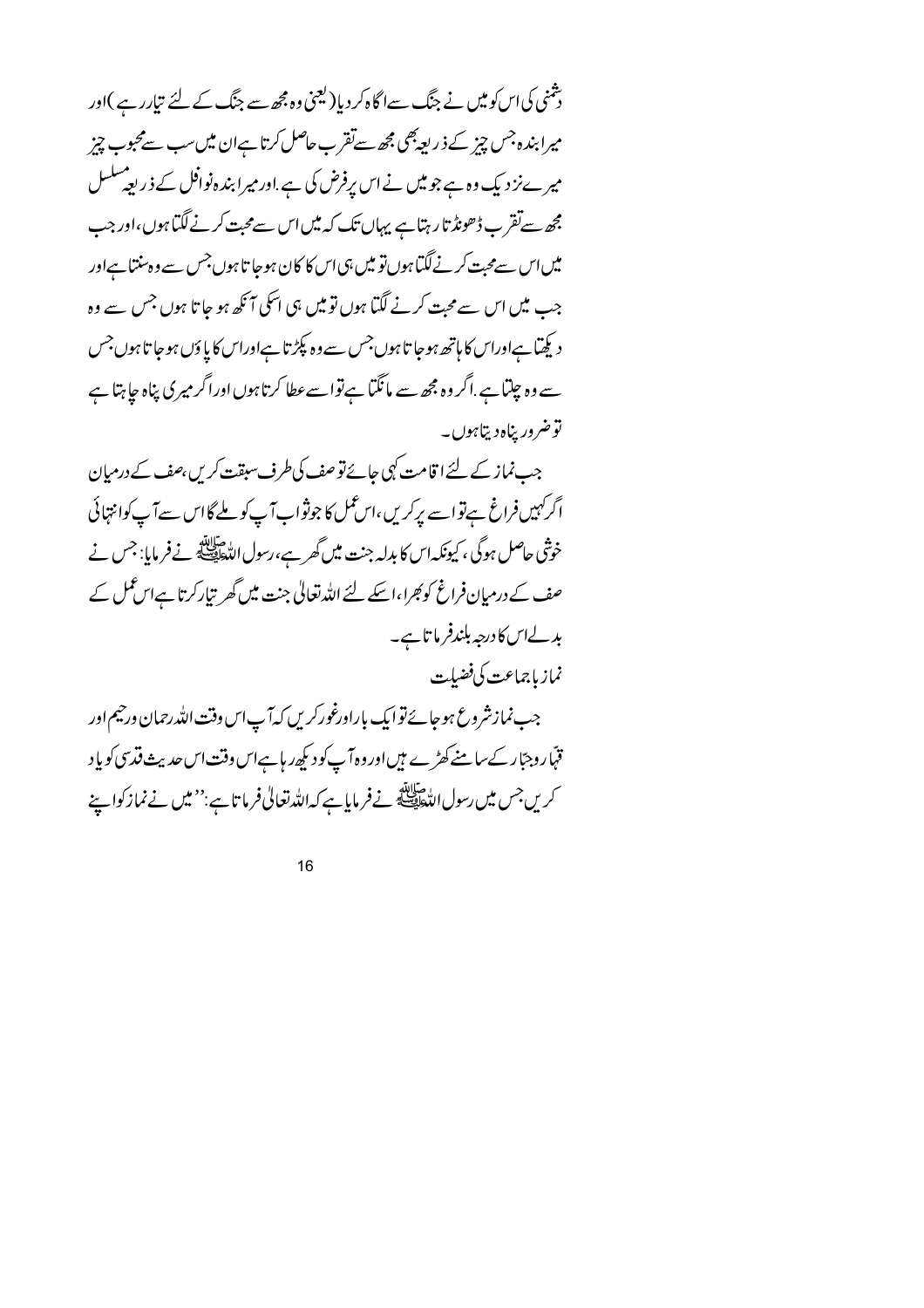رشنی کی اس کو میں نے جنگ سےا گاہ کر دیا( کیجنی وہ مجھ سے جنگ کے لئے تیارر ہے )اور میرا بندہ جس چیز کے ذریعہ بھی مجھ سےتقرب حاصل کرتا ہےان میں سب سےمحبوب چیز میر ےنزد یک وہ ہے جومیں نے اس پرفرض کی ہے.اور میرا بندہ نوافل کے ذریعہ سلسل مچھ سےتقرب ڈھونڈ تا رہتا ہے یہاں تک کہ میں اس سے محبت کرنے لگتا ہوں،اور جب میں اس سےمحبت کرنے گیا ہوں تو میں ہی اس کا کان ہوجا تا ہوں جس سے وہ سنتا ہےاور جب میں اس سے محبت کرنے لگتا ہوں تو میں ہی اسکی آ نکھ ہو جا تا ہوں جس سے وہ دیکھتا ہےاوراس کا ہاتھ ہوجا تاہوں جس سے وہ پکڑ تا ہےاوراس کا یا وَں ہوجا تاہوں جس سے وہ چلتا ہے.اگر وہ مجھ سے مانگتا ہےتواسےعطا کرتاہوں اوراگر میری پناہ جا ہتا ہے توضرور يناه ديتاہوں۔

جب نماز کے لئے ا قامت کپی جائے تو صف کی طرف سبقت کریں ،صف کے درمیان اگرکہیں فراغ ہےتواسے برکریں،اس عمل کا جوثواب آپ کو ملے گااس سے آپ کوانتہائی خوشی حاصل ہوگی ، کیونکہ اس کا بدلہ جنت میں گھر ہے،رسول اللہﷺ نےفر مایا: جس نے صف کے درمیان فراغ کوبھرا،اسکے لئے اللہ تعالیٰ جنت میں گھر تیارکرتا ہےاس عمل کے بدلےاس کا درجہ بلندفر ما تاہے۔ نماز باجماعت كي فضبلت

جب نمازشروع ہوجائے توایک باراورغورکریں کہآپ اس وقت اللہ رحمان ورجیم اور قہّاروجبّار کےسامنے کھڑے ہیںاور وہ آپ کود کپھ ریا ہےاس وقت اس حدیث قدسی کو یاد کریں جس میں رسول اللّٰحافِي ﷺ نےفر مایا ہے کہ اللّٰہ تعالٰی فرما تا ہے:''میں نے نماز کوا پنے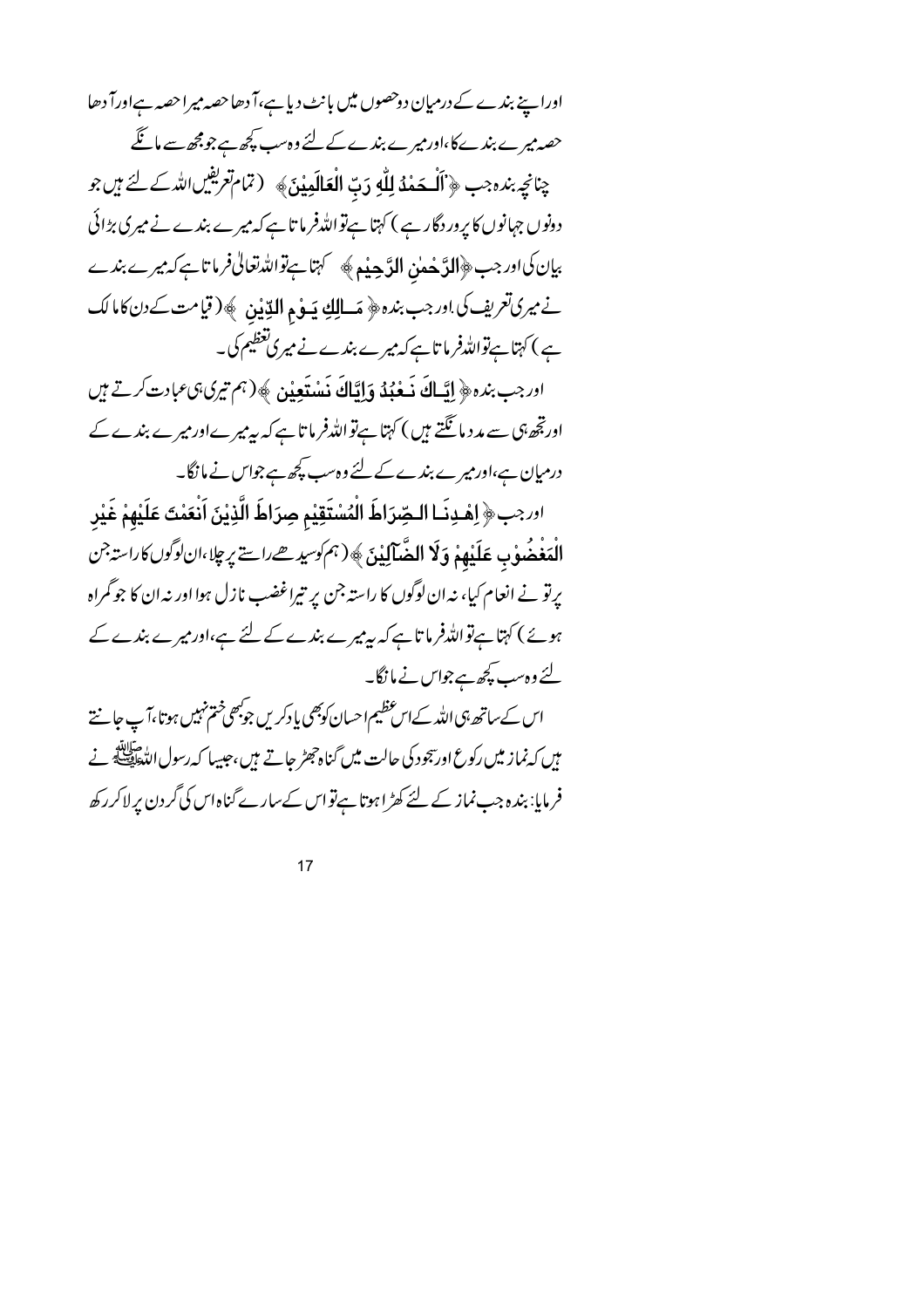اوراپنے بندے کے درمیان دوحصوں میں بانٹ دیا ہے،آ دھاحصہ میراحصہ ہےاورآ دھا حصہ میرے بندے کا،اور میرے بندے کے لئے وہ سب پچھ ہے جو مجھ سے ماتگے چنانچِ بنده جب ﴿ أَلْهَفْهُ لِلَّهِ دَبِّ الْعَالَمِينَ﴾ (تمام تعریفیں اللہ کے لئے ہیں جو دونوں جہانوں کا یرور دگار ہے ) کہتا ہےتواللہ فرما تا ہے کہ میرے بندے نے میری بڑائی بیان کی اور جب ﴿الدَّ هُملِنِ الدَّحِيْمِ﴾ سَمَّ ہتاہے تواللہ تعالیٰ فرماتاہے کہ میرے بندے نے میری تعریف کی اور جب بندہ ﴿ مَسالِكِ يَسِوْمِ الدِّينِينِ ﴾ ( قيامت كے دن كاما لك ہے ) کہتا ہےتواللہ فرما تاہے کہ میرے بندے نے میری تعظیم کی۔

ادرجب بنده ﴿ إِيَّـاكَ ذَهْبُهُ وَإِيَّاكَ ذَسْتَعِيْنِ ﴾ (ہم تیری ہی عبادت کرتے ہیں اورتجھ ہی سے مدد مانگتے ہیں ) کہتا ہےتواللہ فرما تاہے کہ پیرمیرےاور میرے بندے کے درمیان ہے،اور میرے بندے کے لئے وہ سب پچھ ہے جواس نے ما نگا۔

اورجب﴿ اِهْدِنَـا الـصِّرَاطَ الْمُسْتَقِيْمِ صِرَاطَ الَّذِيْنَ اَنْعَمْتَ عَلَيْهِمْ غَيْر الْمَغْضُوْبِ عَلَيْهِمْ وَلَا الضَّآلِيْنَ﴾ (ہم کوسیدھےراستے پر چلا،ان کوگوں کاراستہ جن پرتو نے انعام کیا، نہ ان لوگوں کا راستہ جن پر تیراغضب نازل ہوا اور نہ ان کا جو گمراہ ہوئے ) کہتا ہےتواللہ فرما تاہے کہ بیرمیرے بندے کے لئے ہے،اور میرے بندے کے لئے وہ سب کچھ ہے جواس نے مانگا۔

اس کے ساتھ ہی اللہ کے اس عظیم احسان کوبھی یادکریں جوبھی ختم نہیں ہوتا،آپ جانتے فرمایا: بندہ جب نماز کے لئے کھڑا ہوتا ہےتواس کےسارے گناہ اس کی گردن پرلاکررکھ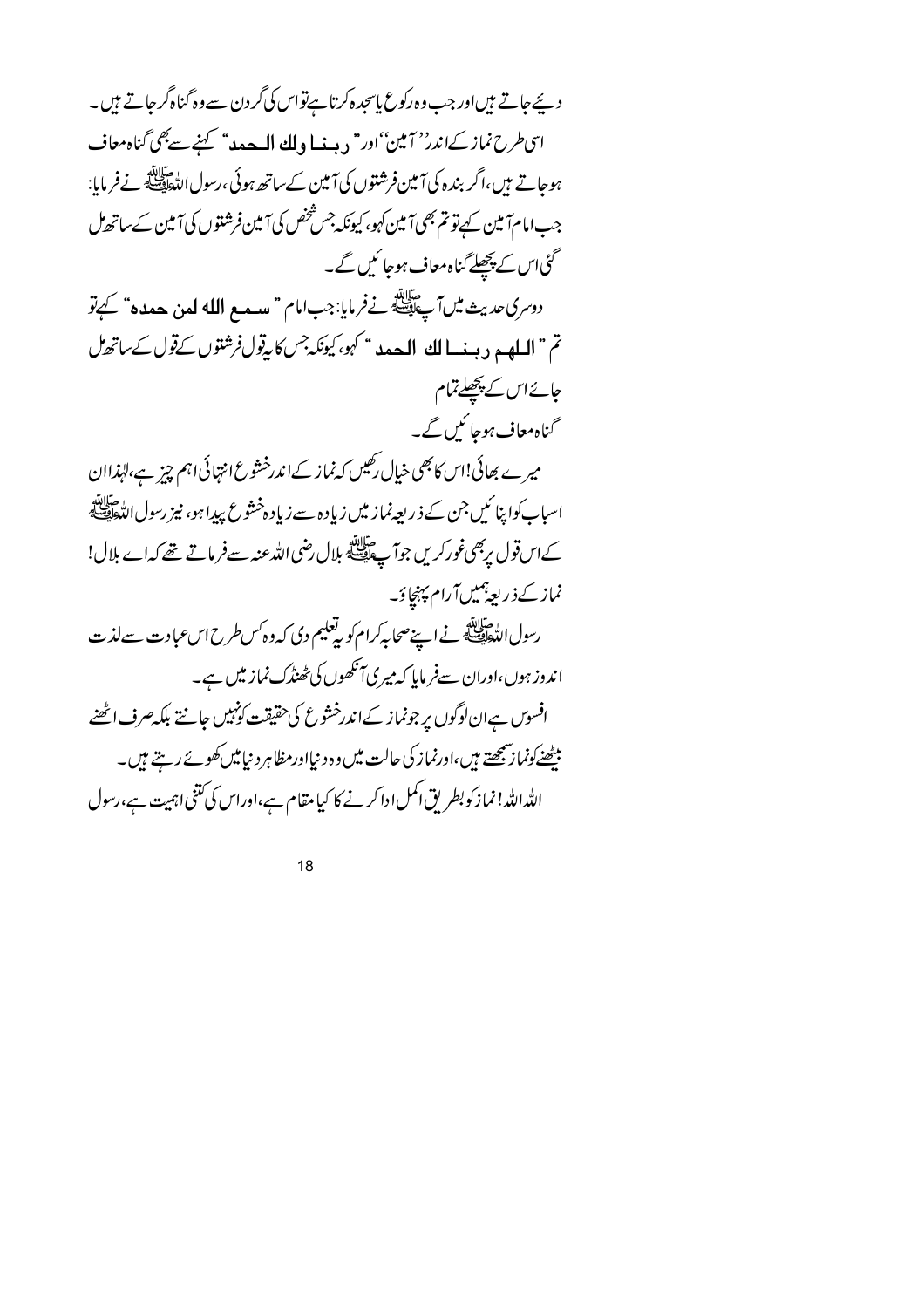دیئے جاتے ہیںاور جب وہ رکوع پاسچدہ کرتا ہےتواس کی گردن سے وہ گناہ گر جاتے ہیں۔ اتحاطرح نماز كےاندر''آمين'اور" ديپنسا ولك المسجدہ" كہنے سے بھى گناہ معاف ہوجاتے ہیں،اگر بندہ کی آمین فرشتوں کی آمین کے ساتھ ہوئی ،رسول اللہﷺ نےفرمایا: جب امام آمین کے تو تم بھی آمین کہو، کیونکہ جس شخص کی آمین فرشتوں کی آمین کے ساتھ مل گئی اس کے پچھلے گناہ معاف ہوجا ئیں گے۔ دوسري حديث مين آپ السي الله عليه الله عن الله عن حده عليه عن الله عنه عنه الله عليه عنه عنه الله عليه الله تم " السلهيد ديسنسا لك البصد " كهو، كيونكه جس كابيقول فرشتوں كےقول كے ساتھال جائے اس کے پچھلے تمام گناہ معاف ہوجا ئیں گے۔ میرے بھائی!اس کا بھی خیال رکھیں کہ نماز کےاندرخشوع انتہائی اہم چیز ہے،لہٰذاان اسباب كواپنا ئىيں جن كے ذ ريع ينماز ميں زياد ہ سے زياد ہ خشوع پيدا ہو، نيز رسول اللّٰحافِي صَلَّا الله کےاس قول پربھی غور کریں جوآ پے ﷺ بلال رضی اللہ عنہ سےفر ماتے تھے کہ اے بلال! نماز کےذریعہ بھیںآرام پہنچاؤ۔ رسول الدَّ عليهة في است صحابه كرام كو بدِّفليم دى كه وه كس طرح اس عبادت سے لذت اندوز ہوں،اوران سےفر ماہا کہ میر کی آنکھوں کی ٹھنڈک نماز میں ہے۔ افسوس ہےان لوگوں پر جونماز کےاندرخشوع کی حقیقت کونہیں جانتے بلکہ صرف اٹھنے بیٹھنےکونما زی<u>جھتے</u> ہیں،اورنماز کی حالت میں وہ د نیااورمظاہر د نیامیں کھوئے رہتے ہیں۔ الله الله! نماز کوبطر یق اکمل ادا کرنے کا کیا مقام ہے،اوراس کی کتنی اہمیت ہے،رسول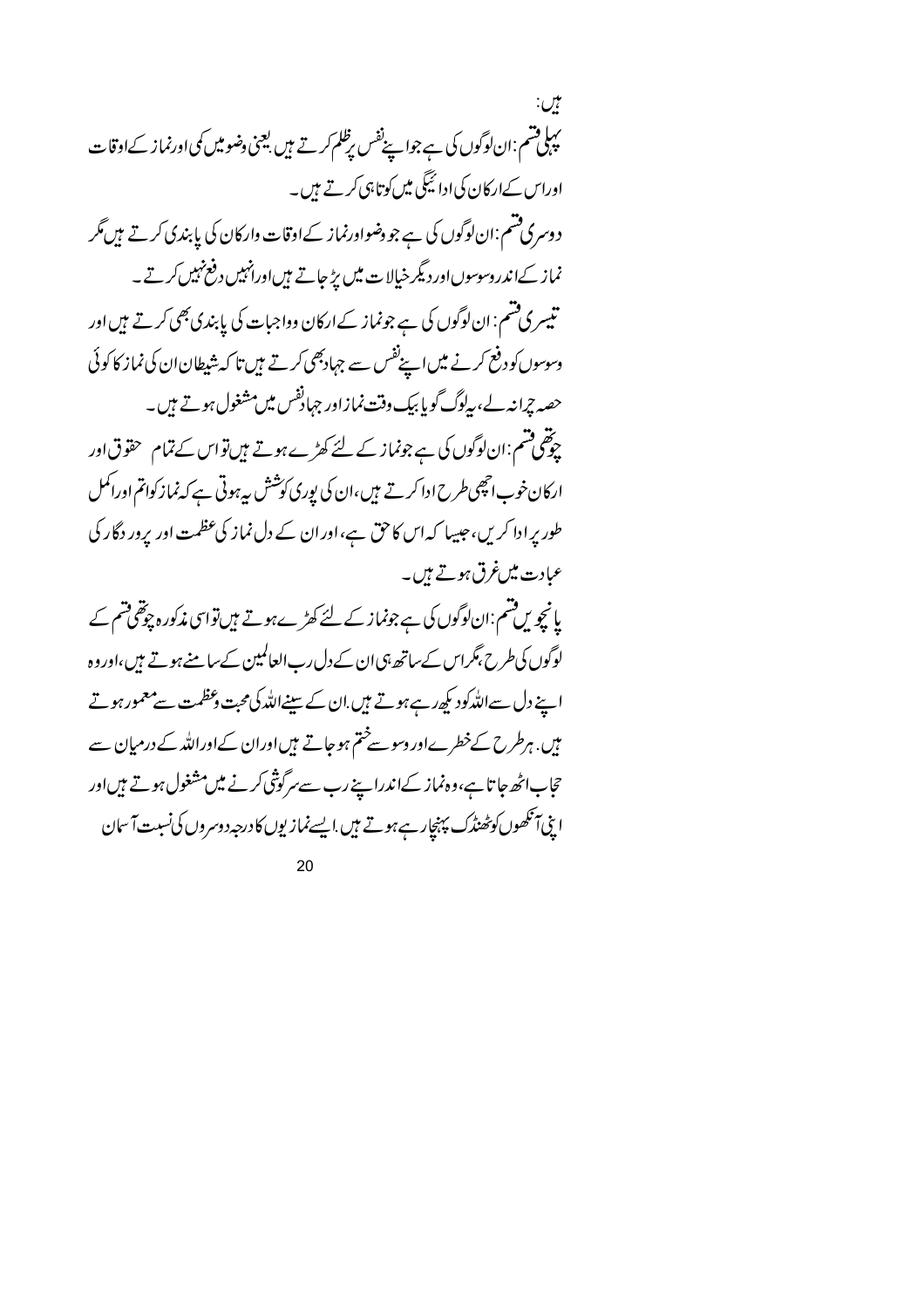بين: یہا قسم :ان لوگوں کی ہے جوا پنےنفس برظلم کرتے ہیں بعینی وضومیں کمی اورنماز کےاوقات اوراس کےارکان کی ادائیگی میں کوتاہی کرتے ہیں۔ دوسری فشم:ان لوگوں کی ہے جو دضواورنماز کےاوقات وارکان کی پابندی کرتے ہیں مگر نماز کےاندروسوسوںاور دیگر خیالات میں بڑ جاتے ہیںاورانہیں دفع نہیں کرتے۔ تیسری قسم: ان لوگوں کی ہے جونماز کےارکان وواجبات کی پابندی بھی کرتے ہیں اور وسوسوں کو دفع کرنے میں اپنےنفس سے جہادبھی کرتے ہیں تا کہ شیطان ان کی نماز کا کوئی حصہ چرانہ لے، بہلوگ گویا بیک وقت نمازاور جہادُنفس میں مشغول ہوتے ہیں۔ ۔<br>چوٹھی مشم:ان لوگوں کی ہے جونماز کے لئے کھڑے ہوتے ہیں تواس کے تمام حقوق اور ارکان خوب انچھی طرح ادا کرتے ہیں،ان کی پوری کوشش بیرہوتی ہے کہ نماز کواتم اوراکمل طور پر ادا کریں، جیسا کہ اس کاحق ہے، اور ان کے دل نماز کی عظمت اور پرور دگار کی عبادت میںغرق ہوتے ہیں۔ یانچویں قسم:ان لوگوں کی ہے جونماز کے لئے کھڑےہوتے ہیں تواسی مذکور ہ چوتھی قسم کے لوگوں کی طرح بمگراس کے ساتھ ہی ان کے دل رب العالمین کے سامنے ہوتے ہیں،اوروہ اپنے دل سےاللہ کود کپھ رہے ہوتے ہیں ان کے سینےاللہ کی محبت دعظمت سے معمور ہوتے میں. ہرطرح کےخطرےاور دسوسےختم ہوجاتے ہیںاوران کےاوراللہ کے درمیان سے حجاب اٹھ جا تا ہے، وہ نماز کےاندرا پنے رب سے سرگوشی کرنے میں مشغول ہوتے ہیں اور ابِیۡ آنکھوں کو محٰنڈک پہنچار ہے ہوتے ہیں ایسے نمازیوں کا درجہد وسروں کی نسبت آ سان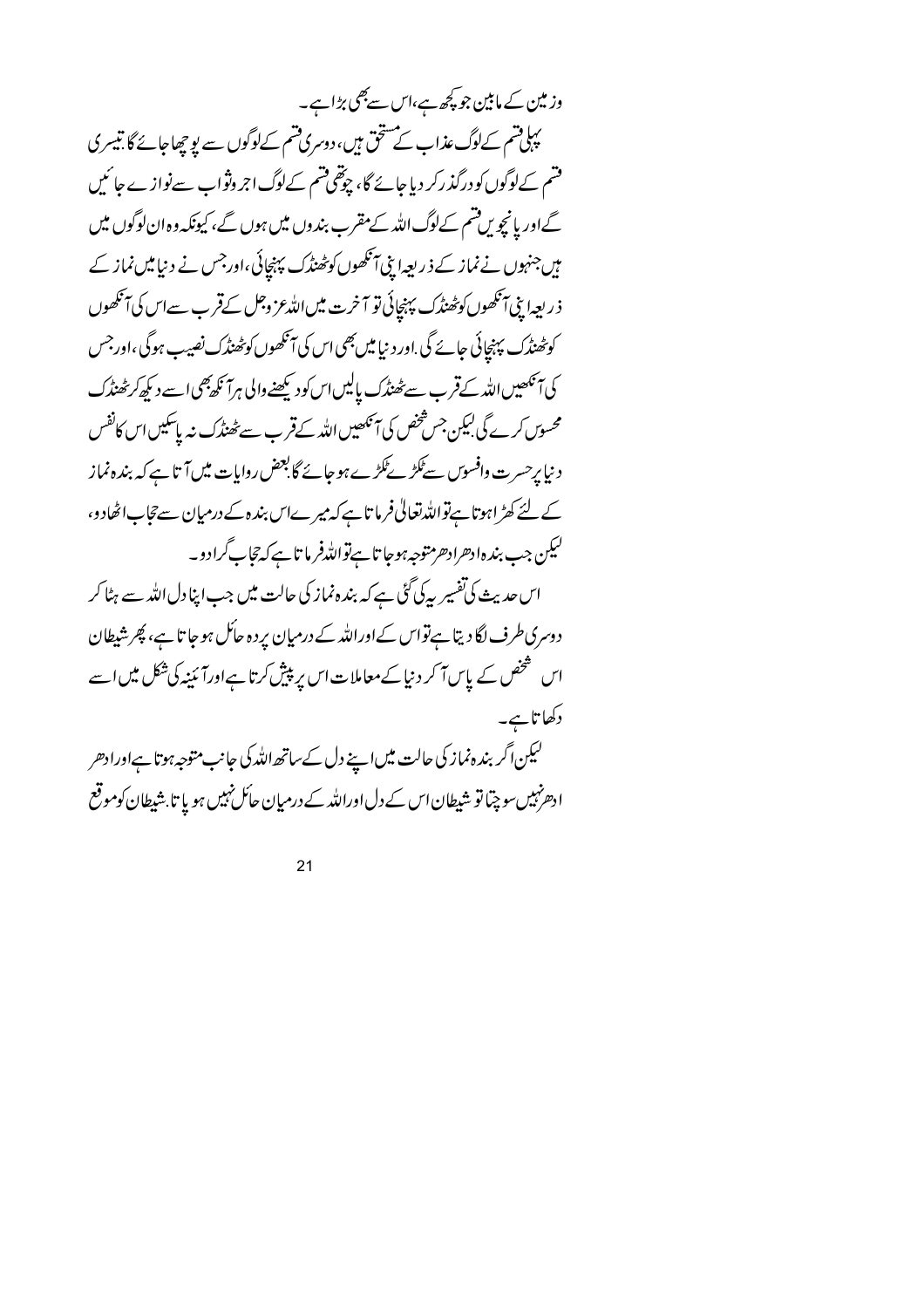وز مین کے مابین جو کچھ ہے،اس سے بھی بڑاہے۔ بہاقتم کےلوگ عذاب کے مستحق ہیں، دوسری قتم کےلوگوں سے یو چھاجائے گا.تیسر کی فتىم كےلوگوں كو درگذركر دیا جائے گا، چوتھی فتىم كےلوگ اجر وثواب سےنوازے جائیں گےاور یانچویں قسم کےلوگ اللہ کے مقرب بندوں میں ہوں گے، کیونکہ وہ ان لوگوں میں میں جنہوں نے نماز کے ذ ریعہ اپنی آنکھوں کوٹھنڈک پہنچائی ،اورجس نے دینامیں نماز کے ذريعها بِيْ آنكھوں كو پھٰنڈك پہنچائی تو آخرت میں اللہ عز وجل کےقرب سےاس کی آنكھوں کوٹھنڈک پہنچائی جائے گی .اور د نیا میں بھی اس کی آنکھوں کوٹھنڈک نصیب ہوگی ،اور جس کی آنکھیں اللہ کےقرب سے ٹھنڈک پالیں اس کود کیھنے والی ہرآ نکھ بھی اسے دیکھ کر ٹھنڈک محسوس کرے گی لیکن جس شخص کی آنکھیں اللہ کے قرب سے ٹھنڈک نہ پاسکیں اس کانفس د نیا پرحسر ت وافسوس سے ٹکڑے گڑے ہو جائے گا بعض روایات میں آتا ہے کہ بندہ نماز کے لئے کھڑاہوتا ہےتواللہ تعالیٰ فرما تاہے کہ میرےاس بندہ کے درمیان سےحجاب اٹھادو، ليكن جب بندهادهرادهر متوجه بموجا تا ہےتوالله فرما تا ہے كہ تجاب گرادو۔ اس حدیث کی تفسیر بیرکی گئی ہے کہ بندہ نماز کی حالت میں جب اپنادل اللہ سے ہٹا کر دوسری طرف لگا دیتا ہےتواس کےاوراللہ کے درمیان پردہ جائل ہوجا تا ہے، پھر شیطان اس شخص کے پاس آ کر د نیا کے معاملات اس پر پیش کرتا ہےاورآ ئینیہ کی شکل میں اسے دکھا تاہے۔ لیکن اگر بندہ نماز کی حالت میں اپنے دل کےساتھ اللہ کی جانب متوجہ ہوتا ہےاورادھر ادھ نہیںسو چتا تو شیطان اس کے دل اوراللہ کے درمیان حائل نہیں ہو یا تا بشیطان کوموقع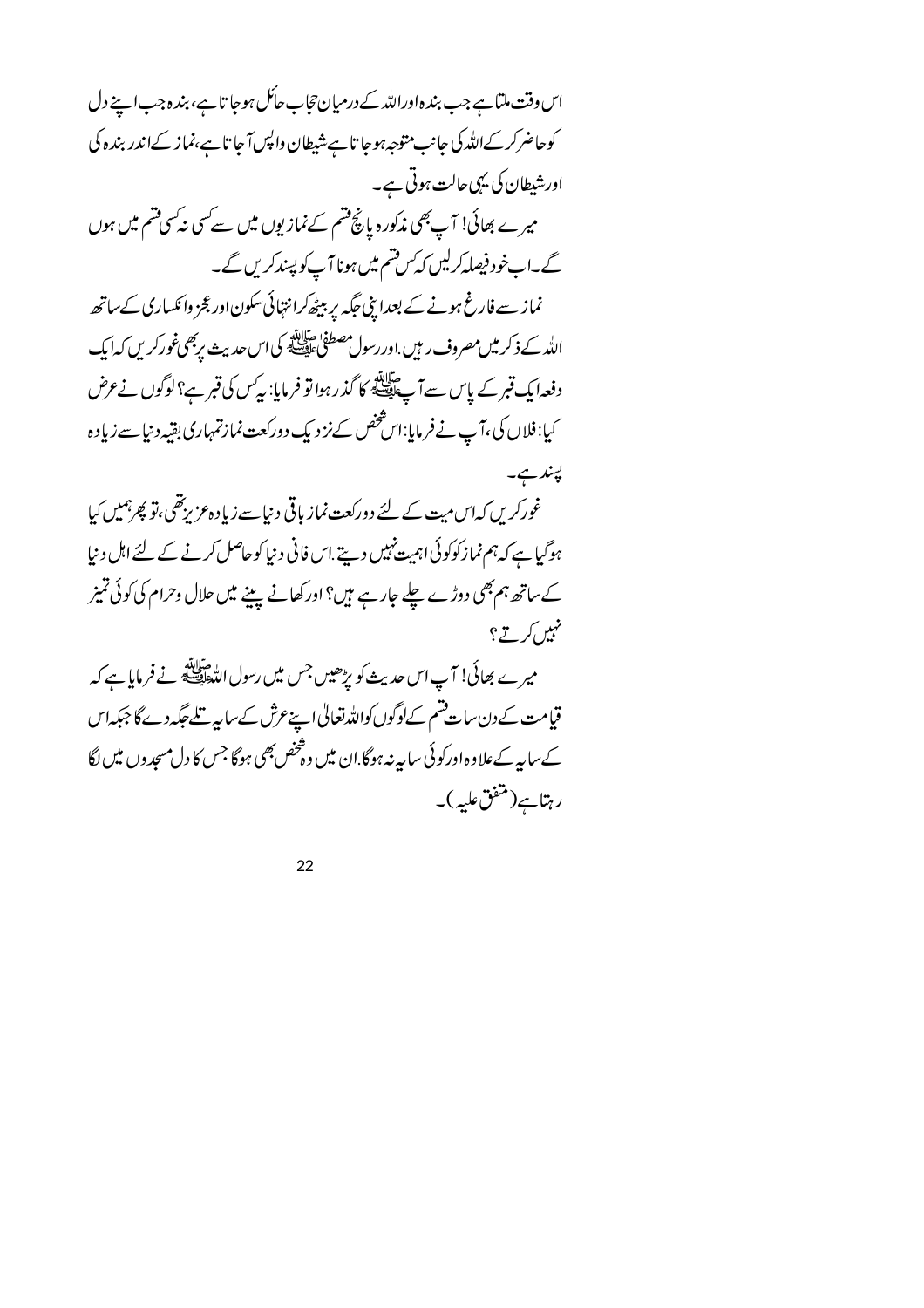اس وقت ملتا ہے جب بندہ اوراللہ کے درمیان تجاب حاکل ہوجا تا ہے، بندہ جب اپنے دل کوحاضرکرکےاللہ کی جانب متوجہ ہوجا تا ہے شیطان واپس آ جا تا ہے،نماز کےاندر بند ہ کی اورشیطان کی یہی حالت ہوتی ہے۔ میرے بھائی! آپ بھی مذکورہ پانچ فتیم کےنمازیوں میں سے کسی نیکسی فتیم میں ہوں گے۔ابخود فیصلہ کرلیں کہ کس قتیم میں ہونا آپ کو پسندکریں گے۔ نماز سے فارغ ہونے کے بعدا بنی جگہ پر بیٹھ کرانتہائی سکون اور عجز وائکساری کے ساتھ الله کے ذکر میں مصروف ر ہیں .اور رسول مصطفیٰ سابقہ کی اس جدیث پر بھی غورکر یں کہ ایک دفعہ ایک قبر کے پاس سے آ پے ایلاً کا گذر ہوا تو فرمایا: پیرس کی قبر ہے؟ لوگوں نے عرض کیا: فلاں کی ،آپ نےفر مایا:اس شخص سےنز دیک دورکعت نمازتمہاری بقیہ دنیا سے زیادہ پېندىپ غورکریں کہاس میت کے لئے دورکعت نماز یاقی دینا سے زیاد ہ عزیزتقی ،تو پھرہمیں کیا ہوگیا ہے کہ ہم نماز کوکوئی اہمیت نہیں دیتے.اس فانی د نیا کوحاصل کرنے کے لئے اہل د نیا کے ساتھ ہم بھی دوڑے چلے جارہے ہیں؟ اور کھانے پینے میں حلال وحرام کی کوئی تمیز نہیں <sub>کرتے</sub>؟ میرے بھائی! آپ اس حدیث کو بڑھیں جس میں رسول اللہﷺ نے فرمایا ہے کہ قیامت کےدن سات قسم کےلوگوں کواللہ تعالیٰ اپنےعرش کے سایہ تلے جگہ دے گا جبکہ اس کے سایہ کےعلاوہ اورکوئی سایہ نہ ہوگا.ان میں وہ څخص بھی ہوگا جس کا دل مسجد وں میں لگا رہتاہے(متنفق علیہ)۔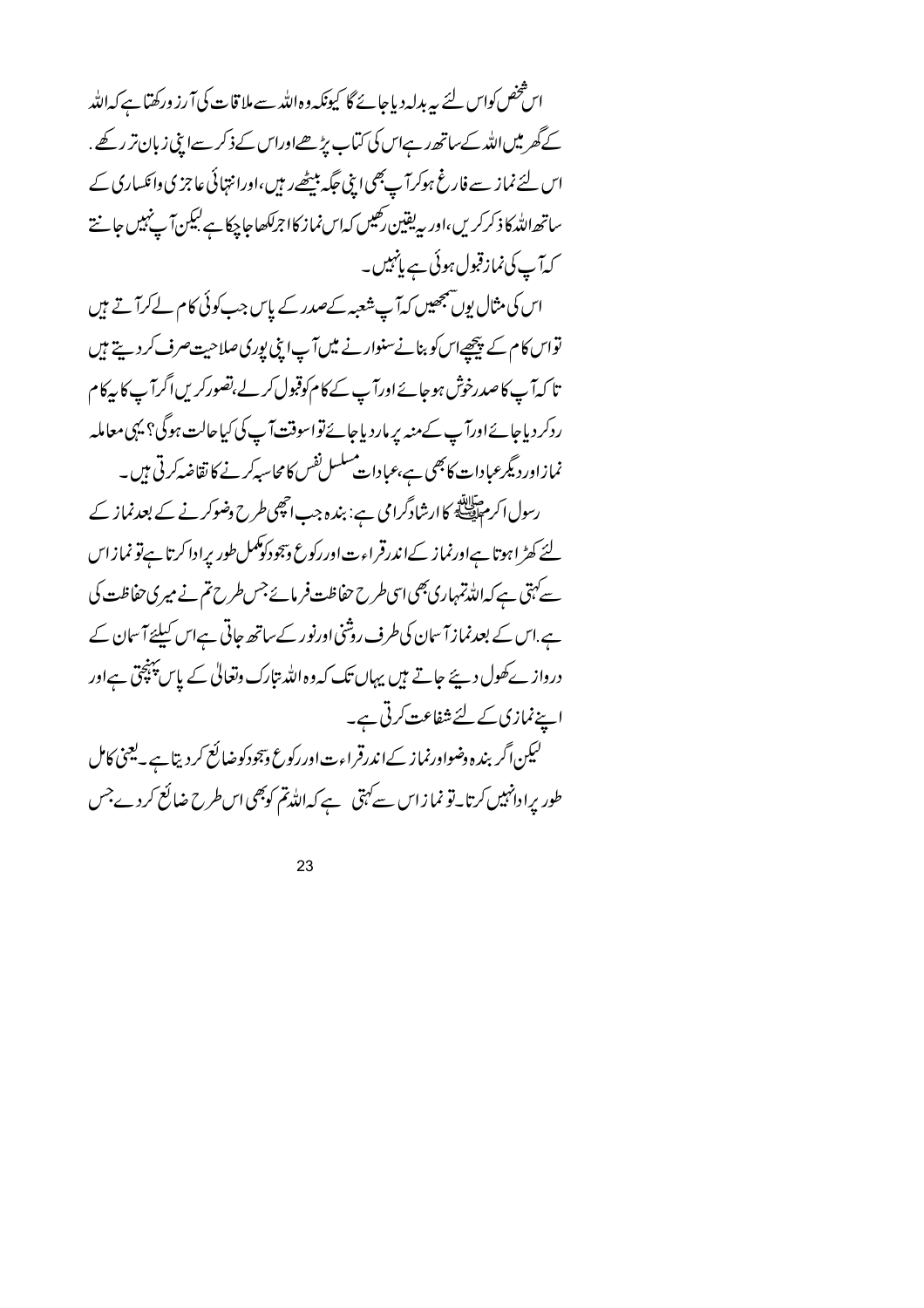اس شخص کواس لئے یہ بدلیہ دیاجائے گا کیونکہ وہ اللّٰہ سے ملا قات کی آ رز ورکھتا ہے کہ اللّٰہ کے گھر میں اللہ کے ساتھ رہےاس کی کتاب پڑھےاوراس کے ذکر سےاپنی زبان تر رکھے. اس لئے نماز سے فارغ ہوکرآ پے بھی اپنی جگہ بیٹھےر ہیں،اورانتہائی عاجزی دائکساری کے ساتھ اللہ کا ذکر کریں،اور پہ یقین رکھیں کہاس نماز کا اجرلکھاجا چکا ہے لیکن آ پنیمیں جانتے کەآپ کی نمازقبول ہوئی ہے پانہیں۔

اس کی مثال یوں شمجھیں کہ آپ شعبہ کےصدر کے پاس جب کوئی کام لےکرآ تے ہیں تواس کام کے پیچھےاس کو بنانےسنوار نے میں آپ اپنی بوری صلاحیت صرف کر دیتے ہیں تا کہ آپ کاصدرخوش ہوجائے اورآپ کے کام کوقبول کرلے،تصورکریں اگر آپ کا رکام ردکر دیاجائے اورآپ کے منہ یر مار دیاجائےتواسوقت آپ کی کیاحالت ہوگی؟ یہی معاملہ نمازاوردیگرعبادات کابھی ہے،عبادات مسلسل نفس کامحاسبہ کرنے کا نقاضہ کرتی ہیں۔ رسول اکر مہالتات کاارشادگرامی ہے: بندہ جب انھی طرح وضوکر نے کے بعدنماز کے لئے کھڑ اہوتا ہےاورنماز کےاندرقراءت اور رکوع وہجودکوکمل طور پرادا کرتا ہےتو نمازاس سے کہتی ہے کہ اللہ تمہاری بھی اسی طرح حفاظت فرمائے جس طرح تم نے میری حفاظت کی ہے اس کے بعدنماز آ سان کی طرف روشنی اورنور کے ساتھ جاتی ہےاس کیلئے آ سان کے درواز ےکھول دیئے جاتے ہیں یہاں تک کہ وہ اللہ بتارک وتعالیٰ کے پاس پہنچق ہےاور اپنے نمازی کے لئے شفاعت کرتی ہے۔ لیکن اگر بندہ دضواورنماز کےاندرقراءت اور رکوع وّجودکوضائع کردیتا ہے۔لیجنی کامل طور پرادانہیں کرتا۔تو نما زاس سے کہتی ہے کہ اللہ تم کوبھی اس طرح ضائع کردے جس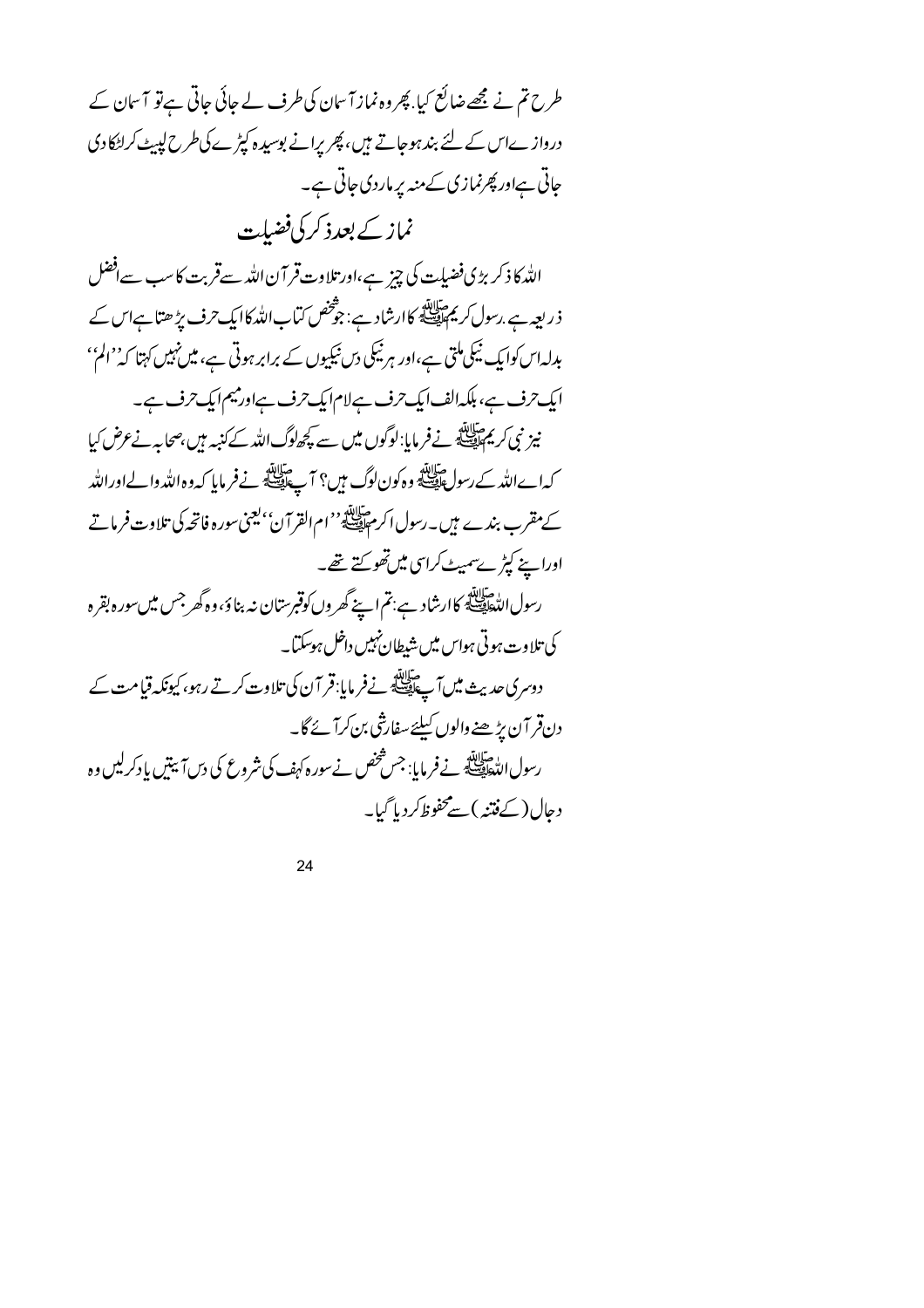طرح تم نے مجھے ضائع کیا. پھر وہ نماز آ سان کی طرف لے جائی جاتی ہے تو آ سان کے درواز ےاس کے لئے بند ہوجاتے ہیں، پھریرانے بوسیدہ کپڑے کی طرح لپیٹ کراٹکادی جاتی ہےاور پھرنمازی کے منہ پر ماردی جاتی ہے۔ نماز کے بعدذ کر کی فضیلت الله کا ذکر بڑی فضیلت کی چیز ہے،اور تلاوت قر آن اللہ سےقربت کا سب سےافضل ذر بعہ ہے <sub>،رسو</sub>ل کریم اللہ<br>ذریعہ ہے .رسول کریم ایضا کا ارشاد ہے : جو شخص کماب اللہ کا ایک حرف پڑ ھتا ہے اس کے بدلہ اس کوا بک نیکی ملتی ہے،اور ہر نیکی دس نیکیوں کے برابر ہوتی ہے، میں نہیں کہتا کہ' الم'' ایک ترف ہے، ہلکہ الف ایک ترف ہے لام ایک ترف ہے اور میم ایک ترف ہے۔ نیز نبی کریم اللہ نے فرمایا: لوگوں میں سے کچھاوگ اللہ کے کنیہ ہیں،صحابہ نے عرض کیا کہاےاللہ کےرسولﷺ وہ کون لوگ میں؟ آپﷺ نےفرمایا کہ وہ اللہ والےاوراللہ کے مقرب بندے ہیں۔رسول اکر مقابلتہ ''ام القرآن' یعنی سورہ فاتحہ کی تلاوت فرماتے اوراپنے کپڑےسمیٹ کراسی میں تھو کتے تھے۔ رسول الدُّهَافِيَّةِ كاارشاد ہے:تم اپنے گھر وں کوقبرستان نہ بناؤ ،وہ گھر جس میں سورہ بقرہ كى تلاوت ہوتى ہواس ميں شيطان نہيں داخل ہوسكتا۔ دوسری حدیث میں آے ہاتا ہے ۔ نےفرمایا:قر آن کی تلاوت کرتے رہو، کیونکہ قیامت کے دن قر آن پڑھنے والوں کیلئے سفارشی بن کرآ ئے گا۔ رسول الدّه اللّه عنه الله عنه الله عنه عنه .<br>رسول اللّه السَّاقِيّة في فسفر مايا: جس شخص نے سور ہ کہف کی شروع کی دس آ نبتیں یا دکرلیں وہ دحال(کےفتنہ)سےمحفوظ کردیا گیا۔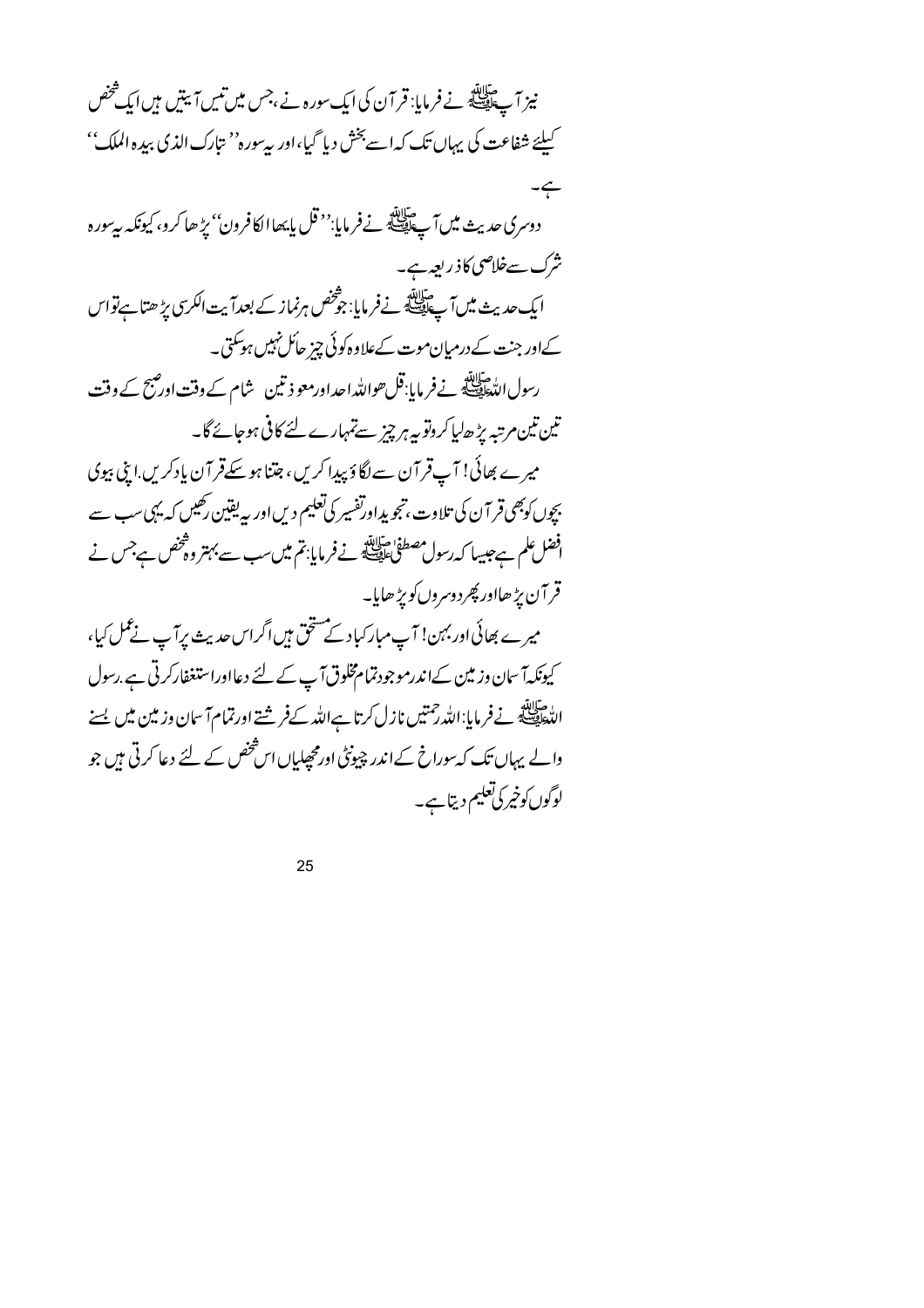| نیز آپ ﷺ نے فرمایا: قر آن کی ایک سورہ نے ،جس میں تیس آئیتیں ہیں ایک شخص                                   |
|-----------------------------------------------------------------------------------------------------------|
| کیلئے شفاعت کی یہاں تک کہاہے بخش دیا گیا،اور بی <sup>ر</sup> ورہ' نتارک الذی بیدہ الملک''                 |
|                                                                                                           |
| دوسری حدیث میں آپﷺ نےفرمایا:' <sup>در</sup> قل بایھاالکافرون'' <i>پڑھ</i> ا کرو، کیونکہ سے سورہ           |
| شرک سےخلاصی کاذ ربعہ ہے۔                                                                                  |
| ایک حدیث میں آپ ایلاً کے ذر مایا: جو شخص ہرنماز کے بعداؔ یت الکرسی پڑ ھتا ہےتواس                          |
| کےاور جنت کے درمیان موت کےعلاوہ کوئی چیز حائل نہیں ہو گئی۔                                                |
| رسول الدّٰهَا اللّٰہِ نے فرمایا:قل حواللّٰہ احداورمعو ذتین شام کے وقت اور صحّ کے وقت                      |
| تین تین مرتبہ پڑ ھالیا کروتو بیہ ہر چیز سےتمہارے لئے کافی ہوجائے گا۔                                      |
| میرے بھائی! آپ قر آن سے لگاؤ پیدا کریں، جتنا ہوسکےقر آن یادکریں اپنی بیوی                                 |
| بچوں کوبھی قر آن کی تلاوت، تجویداورتفسیر کی تعلیم دیں اور سے یقین رکھیں کہ یہی سب سے                      |
| افضل علم ہے جیسا کہ رسول مصطفیٰ عقیقی نے فرمایا: تم میں سب سے بہتر وہ تحض ہے جس نے                        |
| قر آن پڑ ھااور پھر دوسروں کو پڑ ھایا۔                                                                     |
| میرے بھائی اور بہن! آپ مبارکباد کے مشخّ ہیں اگراس حدیث پرآپ نے عمل کیا،                                   |
| کیونکہآ سان وزمین کےاندرموجودتمام مخلوق آپ کے لئے دعااوراستغفارکرتی ہے .رسول                              |
| الدُّهِ السَّلاَلِيَّةِ نَے فرمایا: اللّٰہ رحمتیں نازل کرتا ہےاللّٰہ کےفرشتے اورتمام آ سان وزمین میں یسنے |
| والے یہاں تک کہ سوراخ کےاندر چیونٹی اور محصلیاں اس شخص کے لئے دعا کرتی ہیں جو                             |
| لوگوں کوخیر کی تعلیم دیتا ہے۔                                                                             |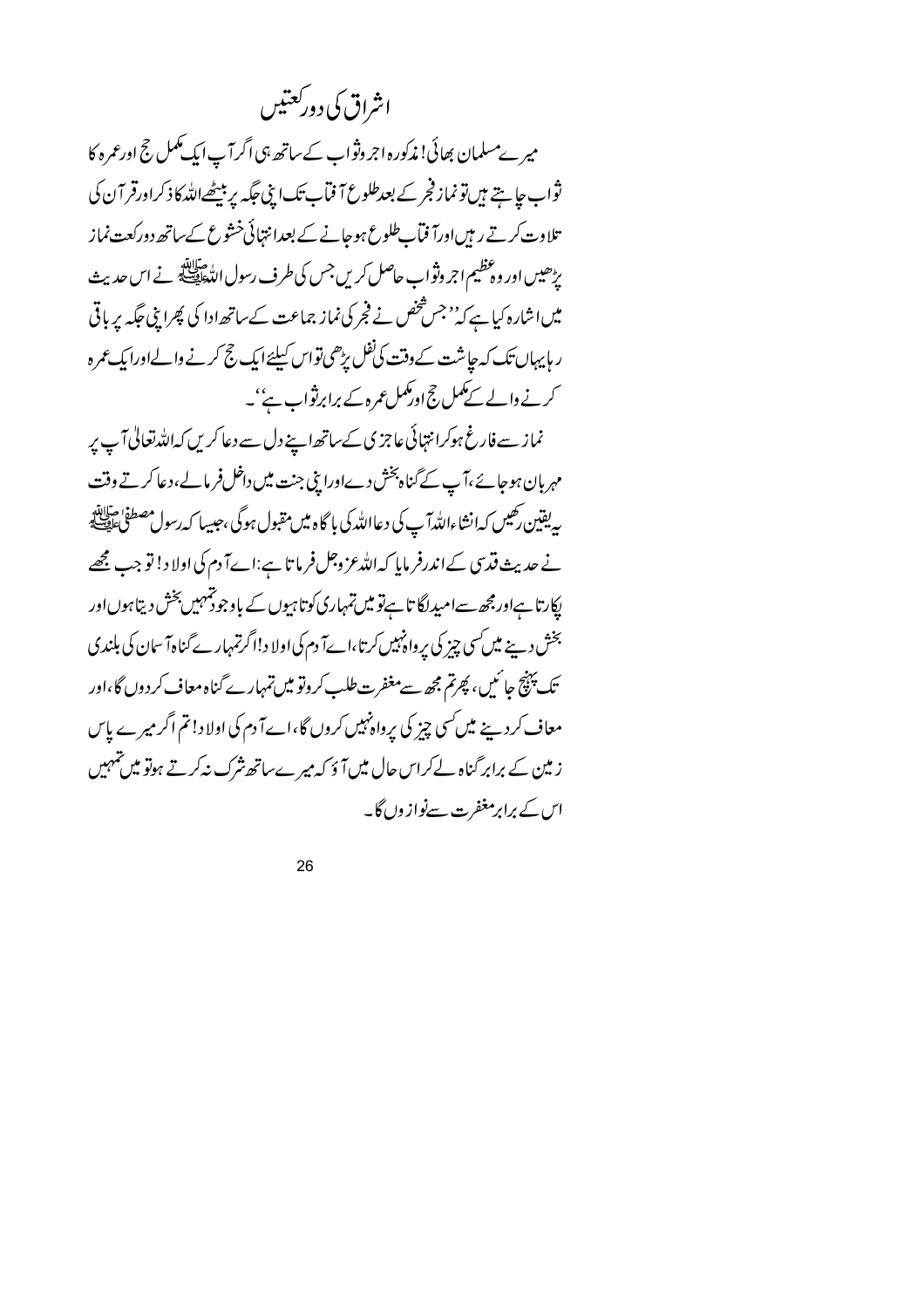اشراق کی دورکعتیں

میرےمسلمان بھائی! مذکورہ اجر وثواب کے ساتھ ہی اگر آپ ایک مکمل حج اورعمرہ کا ثواب جايتے ہيں تونماز فجر کے بعدطلوع آ فماَب تک اپنی جگہ پر بیٹھےاللہ کا ذکراورقر آ ن کی تلاوت کرتے رہن اورآ فمآ طلوع ہوجانے کے بعدانتہائی خشوع کے ساتھ دورکعت نماز یڑھیں اور وہ عظیم اجر وثواب حاصل کریں جس کی طرف رسول اللہﷺ نے اس حدیث میں اشارہ کیا ہے کہ''جس شخص نے فجر کی نماز جماعت کے ساتھ ادا کی پھرا بنی جگہ پر باقی ر ہاپہاں تک کہ جاشت کے وقت کی فلل پڑھی تواس کیلئے ایک حج کرنے والےاورا بک عمر ہ کرنے والے کے کمل حج اور کمل عمرہ کے برابرنثواب ہے''۔

نماز سے فارغ ہوکرانتہائی عاجزی کےساتھ اپنے دل سے دعا کریں کہ اللہ تعالیٰ آپ پر مہربان ہوجائے،آپ کے گناہ پخش دےاورا بنی جنت میں داخل فرمالے،دعا کرتے وقت ر یقین رحیبں کہ انشاءاللہ آ پ کی دعااللہ کی با گاہ میں مقبول ہوگی ،حبیبا کہ رسول مصطفیٰ علی اللہ نے حدیث فتری کےاندرفر مایا کہ اللہ عز وجل فرما تا ہے:اےآ دم کی اولا د! تو جب مجھے لپکارتا ہےاور مجھ سےامیدلگا تا ہےتو میں تمہاری کوتا ہیوں کے باوجود تمہیں بخش دیتا ہوں اور بخش دینے میں سی چیز کی پرواڈ ہیں کرتا،اےآ دم کی اولا د!اگرتمہارے گناہآ سان کی بلندی تک پہنچ جا ئیں، پھرتم مجھ سےمغفرت طلب کروتو میں تمہارے گناہ معاف کردوں گا،اور معاف کرد بنے میں کسی چز کی پرواہ نہیں کروں گا،اےآ دم کی اولا د! تم اگر میرے پاس ز مین کے برابر گناہ لےکراس حال میں آؤ کہ میرےساتھ شرک نیرکرتے ہوتو میں تیہیں اس کے برابرمغفرت سےنواز وں گا۔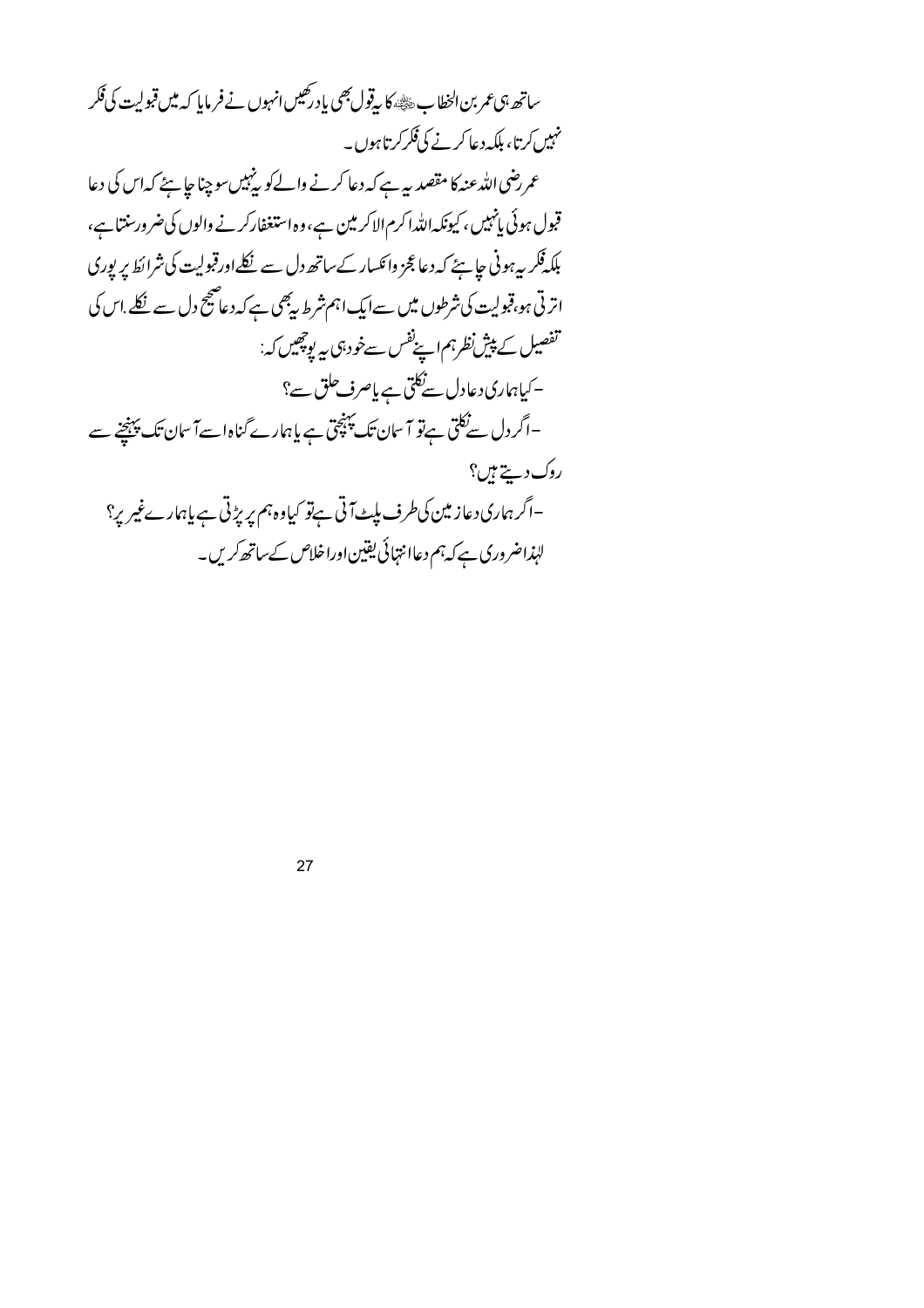ساتھ ہی عمر بن الخطاب ﷺ، کا یہ قول بھی یاد رکھیں انہوں نے فر مایا کہ میں قبولیت کی فکر نہیں کرتا، بلکہ دعا کرنے کی<sup>فکر</sup> کرتا ہوں۔ عمر رضی اللہ عنہ کا مقصد ہے ہے کہ دعا کرنے والےکو پینہیںسو چنا جا ہئے کہ اس کی دعا قبول ہوئی پانہیں ، کیونکہ اللہ اکرم الاکر مین ہے،وہ استغفارکر نے والوں کی ضرور سنتاہے، بلکہ فکر بی*ہو*نی جاہئے کہ دعا عجز وائکسار کے ساتھ دل سے نکلے اورقبولیت کی شرائط پر پوری اتر ٹی ہو،قبولیت کی شرطوں میں سےایک اہم شرط پیجی ہے کہ دعاصج دل سے نکلے اس کی تفصيل کے پيش نظرہم اپنے نفس سےخود ہی ہی پوچھیں کہ: - کیاہماری دعادل سے نکتی ہے یاصرف حلق سے؟ –اگر دل سےنکلی ہےتو آ سان تک پہنچق ہے یا ہمارے گناہ اسےآ سان تک پہنچنے سے روك دييخ ہيں؟ –اگر ہماری دعاز مین کی طرف بلٹ آتی ہےتو کیاوہ ہم پریڑتی ہے پاہارےغیریر؟ لہٰذاضروری ہے کہ ہم دعاا نتہائی یقین اوراخلاص کے ساتھ کریں۔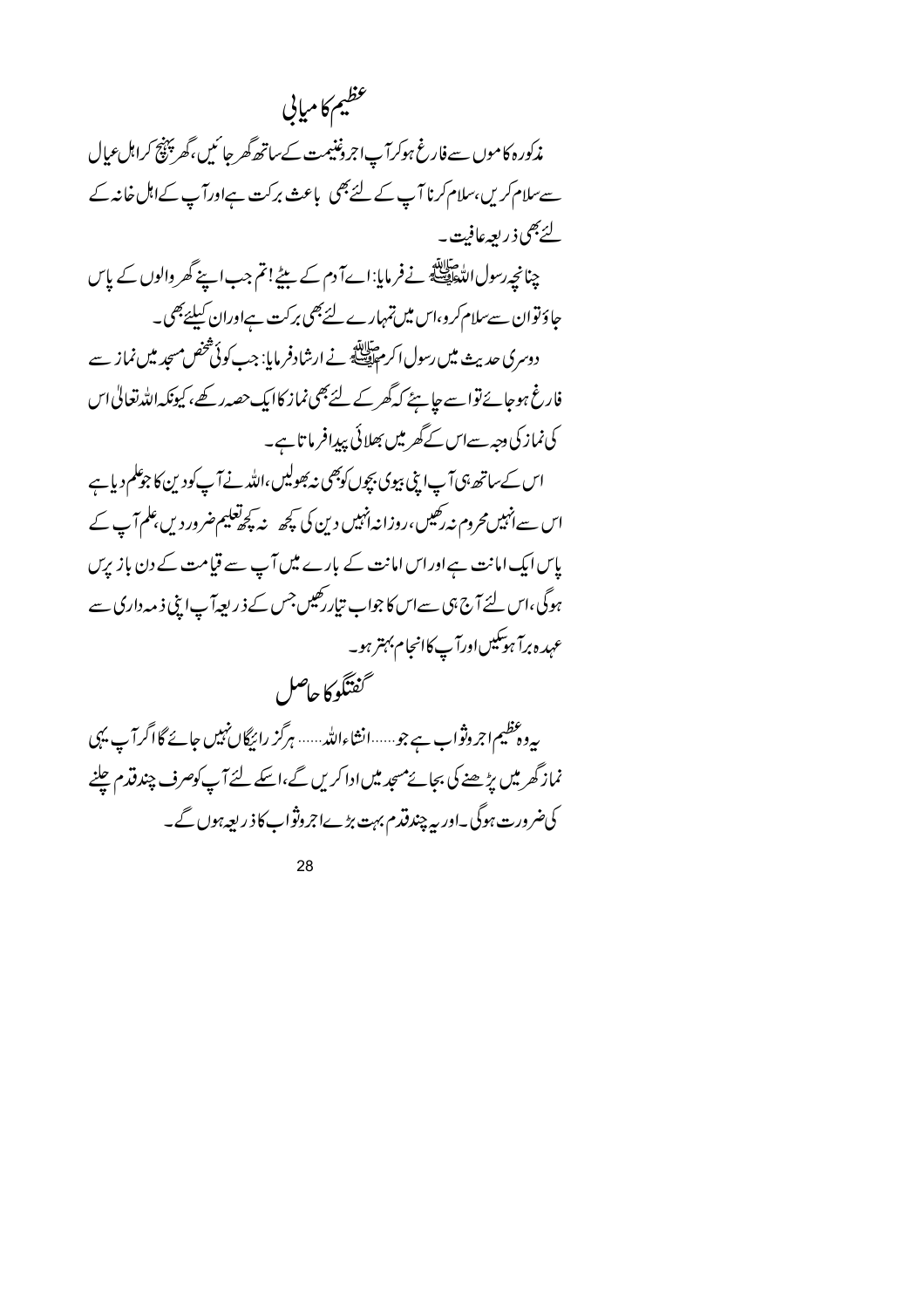عظيم كامياني مذکورہ کاموں سے فارغ ہوکرآ پاجروننیمت کےساتھ گھر جائیں،گھر پنتیج کراہل عبال سے سلام کریں، سلام کرنا آپ کے لئے بھی باعث برکت ہےاورآپ کےاہل خانہ کے لئے بھی ذیر بعہ عافت ۔ چنانچے رسول الڈھاپنے نے فرمایا: اےآ دم کے بیٹے!تم جب اپنے گھر والوں کے پاس جاؤتوان سے سلام کرو،اس میں تمہارے لئے بھی برکت ہےاوران کیلئے بھی۔ دوسری حدیث میں رسول اکر مقابلتہ نے ارشادفر مایا: جب کوئی شخص مسجد میں نماز سے فارغ ہوجائےتواسے جا ہےٗ کہ گھر کے لئے بھی نماز کاایک حصہ رکھے، کیونکہ اللہ تعالیٰ اس کی نماز کی دجہ سےاس کے گھر میں بھلائی پیدافر ما تاہے۔ اس کےساتھ ہی آپ اپنی بیوی بچوں کوبھی نہ بھولیں،اللہ نے آپ کودین کا جومکم دیاہے اس سےانہیں محروم نہ رکھیں،روزانہ انہیں دین کی کچھ پنہ چھلیم ضرور دیں علم آپ کے پاس ایک امانت ہےاوراس امانت کے بارے میں آپ سے قیامت کے دن بازیرس ہوگی،اس لئے آج ہی سےاس کا جواب تیار رکھیں جس کے ذریعہ آپ اپنی ذمہ داری سے عہدہ برآ ہوسکیںاورآ پ کاانجام بہتر ہو۔ گفتگو کاحاصل

یہ دعظیم اجروثواب ہے جو ……انشاءاللہ …… ہرگز رائیگاں نہیں جائے گااگرا ٓپ یہی نماز گھرمیں پڑھنے کی بجائے مسجد میں ادا کریں گے،اسکے لئے آپ کوصرف چند قدم چلنے کی ضرورت ہوگی۔اور بہ چندقدم بہت بڑےاجروثواب کا ذریعہ ہوں گے۔